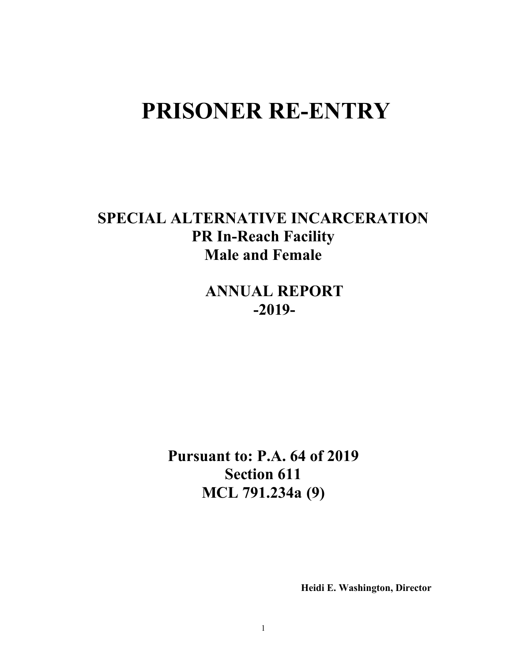# **PRISONER RE-ENTRY**

**SPECIAL ALTERNATIVE INCARCERATION PR In-Reach Facility Male and Female**

> **ANNUAL REPORT -2019-**

**Pursuant to: P.A. 64 of 2019 Section 611 MCL 791.234a (9)**

 **Heidi E. Washington, Director**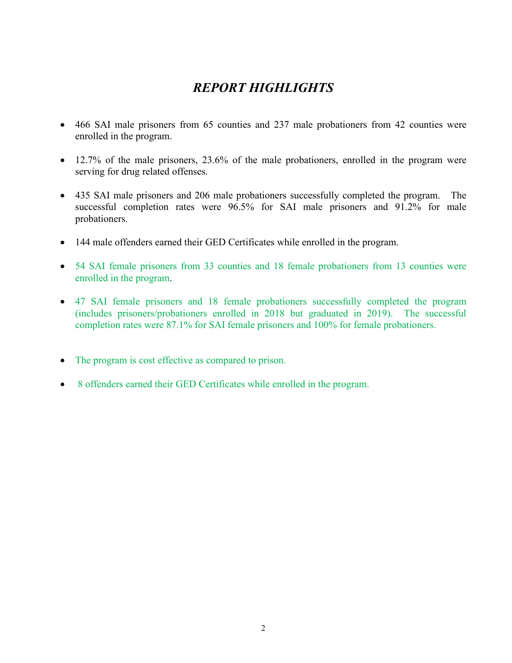## *REPORT HIGHLIGHTS*

- 466 SAI male prisoners from 65 counties and 237 male probationers from 42 counties were enrolled in the program.
- 12.7% of the male prisoners, 23.6% of the male probationers, enrolled in the program were serving for drug related offenses.
- 435 SAI male prisoners and 206 male probationers successfully completed the program. The successful completion rates were 96.5% for SAI male prisoners and 91.2% for male probationers.
- 144 male offenders earned their GED Certificates while enrolled in the program.
- 54 SAI female prisoners from 33 counties and 18 female probationers from 13 counties were enrolled in the program.
- 47 SAI female prisoners and 18 female probationers successfully completed the program (includes prisoners/probationers enrolled in 2018 but graduated in 2019). The successful completion rates were 87.1% for SAI female prisoners and 100% for female probationers.
- The program is cost effective as compared to prison.
- 8 offenders earned their GED Certificates while enrolled in the program.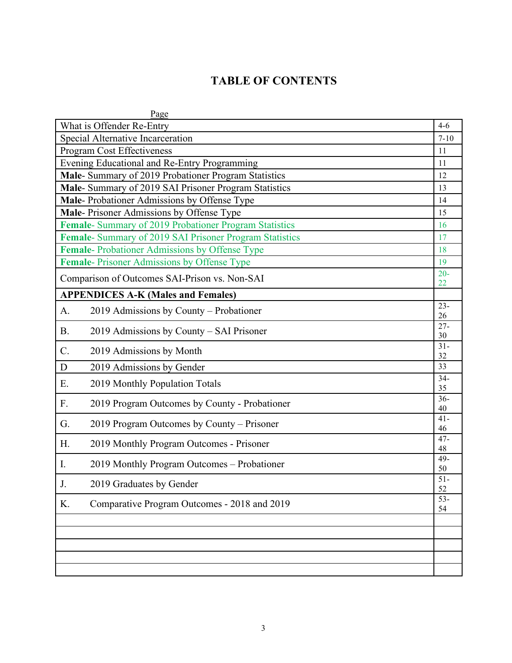### **TABLE OF CONTENTS**

|           | Page                                                   |              |  |
|-----------|--------------------------------------------------------|--------------|--|
|           | What is Offender Re-Entry                              | $4 - 6$      |  |
|           | Special Alternative Incarceration<br>$7 - 10$          |              |  |
|           | <b>Program Cost Effectiveness</b>                      | 11           |  |
|           | Evening Educational and Re-Entry Programming           | 11           |  |
|           | Male- Summary of 2019 Probationer Program Statistics   | 12           |  |
|           | Male- Summary of 2019 SAI Prisoner Program Statistics  | 13           |  |
|           | Male- Probationer Admissions by Offense Type           | 14           |  |
|           | Male-Prisoner Admissions by Offense Type               | 15           |  |
|           | Female- Summary of 2019 Probationer Program Statistics | 16           |  |
|           | Female-Summary of 2019 SAI Prisoner Program Statistics | 17           |  |
|           | Female-Probationer Admissions by Offense Type          | 18           |  |
|           | Female-Prisoner Admissions by Offense Type             | 19           |  |
|           | Comparison of Outcomes SAI-Prison vs. Non-SAI          | $20 -$       |  |
|           |                                                        | 22           |  |
|           | <b>APPENDICES A-K (Males and Females)</b>              |              |  |
| A.        | 2019 Admissions by County - Probationer                | $23 -$<br>26 |  |
| <b>B.</b> | 2019 Admissions by County – SAI Prisoner               | $27 -$<br>30 |  |
| C.        | 2019 Admissions by Month                               | $31-$<br>32  |  |
| D         | 2019 Admissions by Gender                              | 33           |  |
|           |                                                        | $34-$        |  |
| E.        | 2019 Monthly Population Totals                         | 35           |  |
| F.        | 2019 Program Outcomes by County - Probationer          | $36 -$<br>40 |  |
| G.        | 2019 Program Outcomes by County – Prisoner             | $41 -$<br>46 |  |
| Η.        | 2019 Monthly Program Outcomes - Prisoner               | $47 -$       |  |
|           |                                                        | 48<br>49-    |  |
| I.        | 2019 Monthly Program Outcomes – Probationer            | 50           |  |
| J         | 2019 Graduates by Gender                               | $51-$<br>52  |  |
| K.        | Comparative Program Outcomes - 2018 and 2019           | $53-$        |  |
|           |                                                        | 54           |  |
|           |                                                        |              |  |
|           |                                                        |              |  |
|           |                                                        |              |  |
|           |                                                        |              |  |
|           |                                                        |              |  |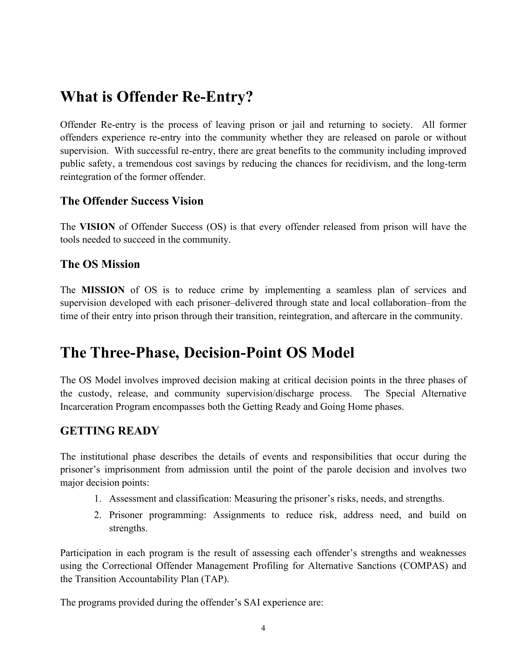## **What is Offender Re-Entry?**

Offender Re-entry is the process of leaving prison or jail and returning to society. All former offenders experience re-entry into the community whether they are released on parole or without supervision. With successful re-entry, there are great benefits to the community including improved public safety, a tremendous cost savings by reducing the chances for recidivism, and the long-term reintegration of the former offender.

#### **The Offender Success Vision**

The **VISION** of Offender Success (OS) is that every offender released from prison will have the tools needed to succeed in the community.

#### **The OS Mission**

The **MISSION** of OS is to reduce crime by implementing a seamless plan of services and supervision developed with each prisoner–delivered through state and local collaboration–from the time of their entry into prison through their transition, reintegration, and aftercare in the community.

## **The Three-Phase, Decision-Point OS Model**

The OS Model involves improved decision making at critical decision points in the three phases of the custody, release, and community supervision/discharge process. The Special Alternative Incarceration Program encompasses both the Getting Ready and Going Home phases.

#### **GETTING READY**

The institutional phase describes the details of events and responsibilities that occur during the prisoner's imprisonment from admission until the point of the parole decision and involves two major decision points:

- 1. Assessment and classification: Measuring the prisoner's risks, needs, and strengths.
- 2. Prisoner programming: Assignments to reduce risk, address need, and build on strengths.

Participation in each program is the result of assessing each offender's strengths and weaknesses using the Correctional Offender Management Profiling for Alternative Sanctions (COMPAS) and the Transition Accountability Plan (TAP).

The programs provided during the offender's SAI experience are: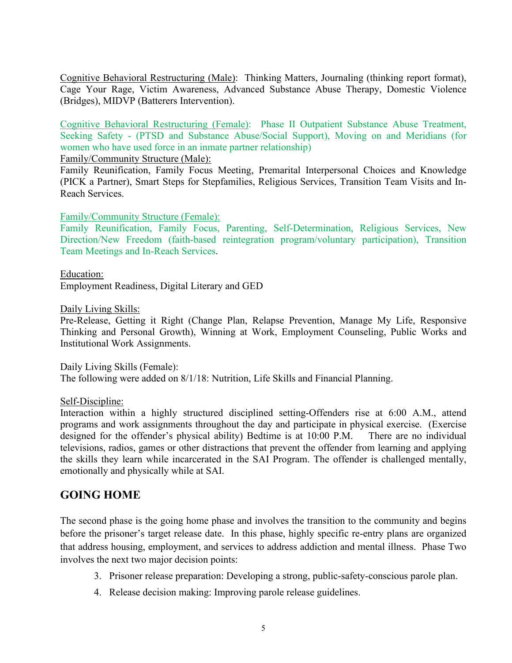Cognitive Behavioral Restructuring (Male): Thinking Matters, Journaling (thinking report format), Cage Your Rage, Victim Awareness, Advanced Substance Abuse Therapy, Domestic Violence (Bridges), MIDVP (Batterers Intervention).

Cognitive Behavioral Restructuring (Female): Phase II Outpatient Substance Abuse Treatment, Seeking Safety - (PTSD and Substance Abuse/Social Support), Moving on and Meridians (for women who have used force in an inmate partner relationship)

Family/Community Structure (Male):

Family Reunification, Family Focus Meeting, Premarital Interpersonal Choices and Knowledge (PICK a Partner), Smart Steps for Stepfamilies, Religious Services, Transition Team Visits and In-Reach Services.

#### Family/Community Structure (Female):

Family Reunification, Family Focus, Parenting, Self-Determination, Religious Services, New Direction/New Freedom (faith-based reintegration program/voluntary participation), Transition Team Meetings and In-Reach Services.

Education: Employment Readiness, Digital Literary and GED

Daily Living Skills:

Pre-Release, Getting it Right (Change Plan, Relapse Prevention, Manage My Life, Responsive Thinking and Personal Growth), Winning at Work, Employment Counseling, Public Works and Institutional Work Assignments.

Daily Living Skills (Female): The following were added on 8/1/18: Nutrition, Life Skills and Financial Planning.

#### Self-Discipline:

Interaction within a highly structured disciplined setting-Offenders rise at 6:00 A.M., attend programs and work assignments throughout the day and participate in physical exercise. (Exercise designed for the offender's physical ability) Bedtime is at 10:00 P.M. There are no individual televisions, radios, games or other distractions that prevent the offender from learning and applying the skills they learn while incarcerated in the SAI Program. The offender is challenged mentally, emotionally and physically while at SAI.

#### **GOING HOME**

The second phase is the going home phase and involves the transition to the community and begins before the prisoner's target release date. In this phase, highly specific re-entry plans are organized that address housing, employment, and services to address addiction and mental illness. Phase Two involves the next two major decision points:

- 3. Prisoner release preparation: Developing a strong, public-safety-conscious parole plan.
- 4. Release decision making: Improving parole release guidelines.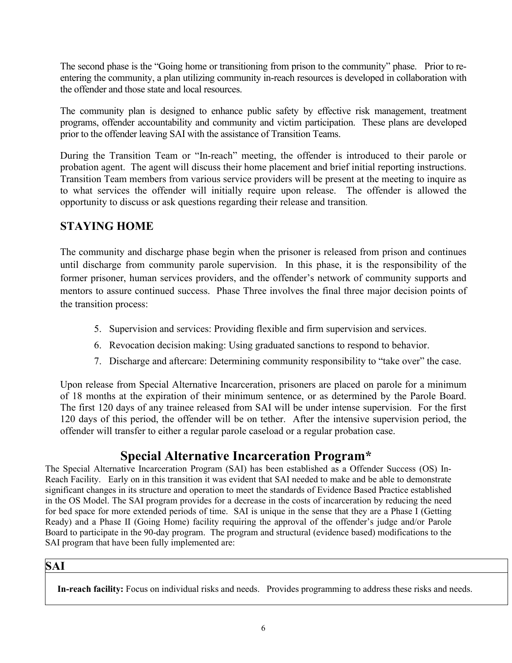The second phase is the "Going home or transitioning from prison to the community" phase. Prior to reentering the community, a plan utilizing community in-reach resources is developed in collaboration with the offender and those state and local resources.

The community plan is designed to enhance public safety by effective risk management, treatment programs, offender accountability and community and victim participation. These plans are developed prior to the offender leaving SAI with the assistance of Transition Teams.

During the Transition Team or "In-reach" meeting, the offender is introduced to their parole or probation agent. The agent will discuss their home placement and brief initial reporting instructions. Transition Team members from various service providers will be present at the meeting to inquire as to what services the offender will initially require upon release. The offender is allowed the opportunity to discuss or ask questions regarding their release and transition.

### **STAYING HOME**

The community and discharge phase begin when the prisoner is released from prison and continues until discharge from community parole supervision. In this phase, it is the responsibility of the former prisoner, human services providers, and the offender's network of community supports and mentors to assure continued success. Phase Three involves the final three major decision points of the transition process:

- 5. Supervision and services: Providing flexible and firm supervision and services.
- 6. Revocation decision making: Using graduated sanctions to respond to behavior.
- 7. Discharge and aftercare: Determining community responsibility to "take over" the case.

Upon release from Special Alternative Incarceration, prisoners are placed on parole for a minimum of 18 months at the expiration of their minimum sentence, or as determined by the Parole Board. The first 120 days of any trainee released from SAI will be under intense supervision. For the first 120 days of this period, the offender will be on tether. After the intensive supervision period, the offender will transfer to either a regular parole caseload or a regular probation case.

### **Special Alternative Incarceration Program\***

The Special Alternative Incarceration Program (SAI) has been established as a Offender Success (OS) In-Reach Facility. Early on in this transition it was evident that SAI needed to make and be able to demonstrate significant changes in its structure and operation to meet the standards of Evidence Based Practice established in the OS Model. The SAI program provides for a decrease in the costs of incarceration by reducing the need for bed space for more extended periods of time. SAI is unique in the sense that they are a Phase I (Getting Ready) and a Phase II (Going Home) facility requiring the approval of the offender's judge and/or Parole Board to participate in the 90-day program. The program and structural (evidence based) modifications to the SAI program that have been fully implemented are:

#### **SAI**

**In-reach facility:** Focus on individual risks and needs. Provides programming to address these risks and needs.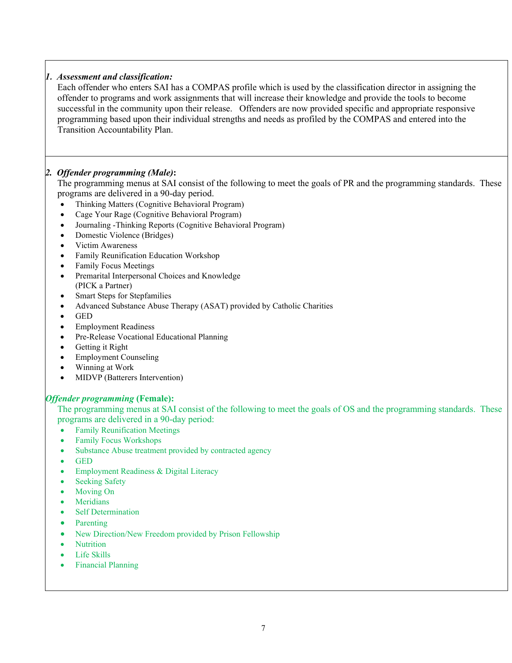#### *1. Assessment and classification:*

Each offender who enters SAI has a COMPAS profile which is used by the classification director in assigning the offender to programs and work assignments that will increase their knowledge and provide the tools to become successful in the community upon their release. Offenders are now provided specific and appropriate responsive programming based upon their individual strengths and needs as profiled by the COMPAS and entered into the Transition Accountability Plan.

#### *2. Offender programming (Male)***:**

The programming menus at SAI consist of the following to meet the goals of PR and the programming standards. These programs are delivered in a 90-day period.

- Thinking Matters (Cognitive Behavioral Program)
- Cage Your Rage (Cognitive Behavioral Program)
- Journaling -Thinking Reports (Cognitive Behavioral Program)
- Domestic Violence (Bridges)
- Victim Awareness
- Family Reunification Education Workshop
- Family Focus Meetings
- Premarital Interpersonal Choices and Knowledge (PICK a Partner)
- Smart Steps for Stepfamilies
- Advanced Substance Abuse Therapy (ASAT) provided by Catholic Charities
- GED
- Employment Readiness
- Pre-Release Vocational Educational Planning
- Getting it Right
- Employment Counseling
- Winning at Work
- MIDVP (Batterers Intervention)

#### *Offender programming* **(Female):**

The programming menus at SAI consist of the following to meet the goals of OS and the programming standards. These programs are delivered in a 90-day period:

- Family Reunification Meetings
- Family Focus Workshops
- Substance Abuse treatment provided by contracted agency
- GED
- Employment Readiness & Digital Literacy
- Seeking Safety
- Moving On
- Meridians
- Self Determination
- Parenting
- New Direction/New Freedom provided by Prison Fellowship
- Nutrition
- Life Skills
- Financial Planning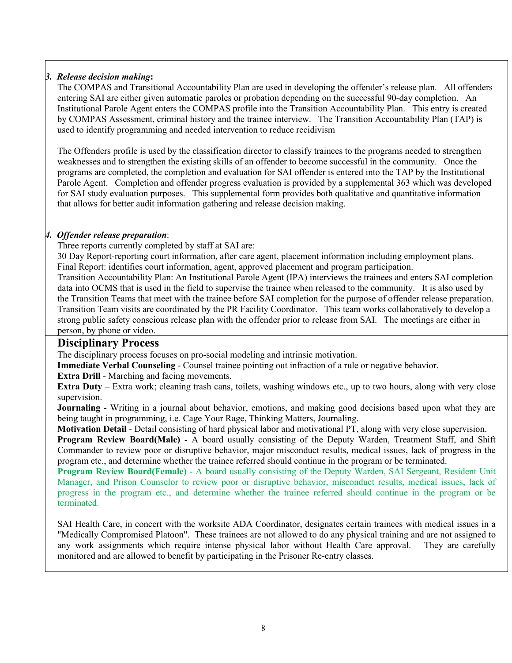#### *3. Release decision making***:**

The COMPAS and Transitional Accountability Plan are used in developing the offender's release plan. All offenders entering SAI are either given automatic paroles or probation depending on the successful 90-day completion. An Institutional Parole Agent enters the COMPAS profile into the Transition Accountability Plan. This entry is created by COMPAS Assessment, criminal history and the trainee interview. The Transition Accountability Plan (TAP) is used to identify programming and needed intervention to reduce recidivism

The Offenders profile is used by the classification director to classify trainees to the programs needed to strengthen weaknesses and to strengthen the existing skills of an offender to become successful in the community. Once the programs are completed, the completion and evaluation for SAI offender is entered into the TAP by the Institutional Parole Agent. Completion and offender progress evaluation is provided by a supplemental 363 which was developed for SAI study evaluation purposes. This supplemental form provides both qualitative and quantitative information that allows for better audit information gathering and release decision making.

#### *4. Offender release preparation*:

Three reports currently completed by staff at SAI are:

30 Day Report-reporting court information, after care agent, placement information including employment plans. Final Report: identifies court information, agent, approved placement and program participation.

Transition Accountability Plan: An Institutional Parole Agent (IPA) interviews the trainees and enters SAI completion data into OCMS that is used in the field to supervise the trainee when released to the community. It is also used by the Transition Teams that meet with the trainee before SAI completion for the purpose of offender release preparation. Transition Team visits are coordinated by the PR Facility Coordinator. This team works collaboratively to develop a strong public safety conscious release plan with the offender prior to release from SAI. The meetings are either in person, by phone or video.

#### **Disciplinary Process**

The disciplinary process focuses on pro-social modeling and intrinsic motivation.

**Immediate Verbal Counseling** - Counsel trainee pointing out infraction of a rule or negative behavior.

**Extra Drill** - Marching and facing movements.

**Extra Duty** – Extra work; cleaning trash cans, toilets, washing windows etc., up to two hours, along with very close supervision.

**Journaling** - Writing in a journal about behavior, emotions, and making good decisions based upon what they are being taught in programming, i.e. Cage Your Rage, Thinking Matters, Journaling.

**Motivation Detail** - Detail consisting of hard physical labor and motivational PT, along with very close supervision.

**Program Review Board(Male)** - A board usually consisting of the Deputy Warden, Treatment Staff, and Shift Commander to review poor or disruptive behavior, major misconduct results, medical issues, lack of progress in the program etc., and determine whether the trainee referred should continue in the program or be terminated.

**Program Review Board(Female)** - A board usually consisting of the Deputy Warden, SAI Sergeant, Resident Unit Manager, and Prison Counselor to review poor or disruptive behavior, misconduct results, medical issues, lack of progress in the program etc., and determine whether the trainee referred should continue in the program or be terminated.

SAI Health Care, in concert with the worksite ADA Coordinator, designates certain trainees with medical issues in a "Medically Compromised Platoon". These trainees are not allowed to do any physical training and are not assigned to any work assignments which require intense physical labor without Health Care approval. They are carefully monitored and are allowed to benefit by participating in the Prisoner Re-entry classes.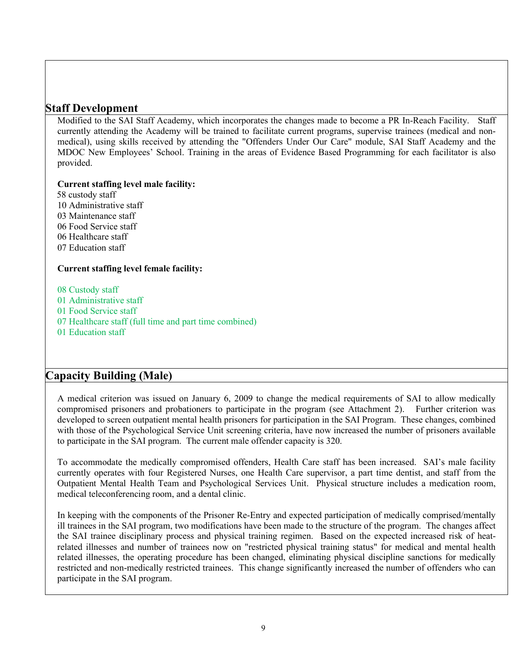#### **Staff Development**

Modified to the SAI Staff Academy, which incorporates the changes made to become a PR In-Reach Facility. Staff currently attending the Academy will be trained to facilitate current programs, supervise trainees (medical and nonmedical), using skills received by attending the "Offenders Under Our Care" module, SAI Staff Academy and the MDOC New Employees' School. Training in the areas of Evidence Based Programming for each facilitator is also provided.

**Current staffing level male facility:** 

 custody staff Administrative staff Maintenance staff Food Service staff Healthcare staff Education staff

#### **Current staffing level female facility:**

08 Custody staff

- 01 Administrative staff
- 01 Food Service staff
- 07 Healthcare staff (full time and part time combined)
- 01 Education staff

#### **Capacity Building (Male)**

A medical criterion was issued on January 6, 2009 to change the medical requirements of SAI to allow medically compromised prisoners and probationers to participate in the program (see Attachment 2). Further criterion was developed to screen outpatient mental health prisoners for participation in the SAI Program. These changes, combined with those of the Psychological Service Unit screening criteria, have now increased the number of prisoners available to participate in the SAI program. The current male offender capacity is 320.

To accommodate the medically compromised offenders, Health Care staff has been increased. SAI's male facility currently operates with four Registered Nurses, one Health Care supervisor, a part time dentist, and staff from the Outpatient Mental Health Team and Psychological Services Unit. Physical structure includes a medication room, medical teleconferencing room, and a dental clinic.

In keeping with the components of the Prisoner Re-Entry and expected participation of medically comprised/mentally ill trainees in the SAI program, two modifications have been made to the structure of the program. The changes affect the SAI trainee disciplinary process and physical training regimen. Based on the expected increased risk of heatrelated illnesses and number of trainees now on "restricted physical training status" for medical and mental health related illnesses, the operating procedure has been changed, eliminating physical discipline sanctions for medically restricted and non-medically restricted trainees. This change significantly increased the number of offenders who can participate in the SAI program.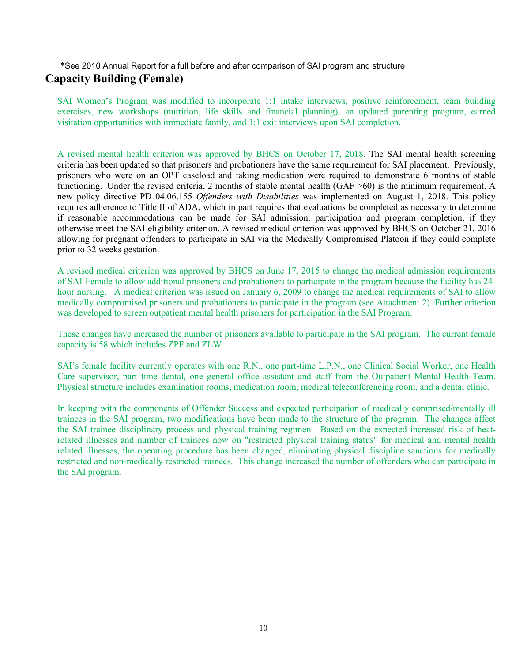#### \*See 2010 Annual Report for a full before and after comparison of SAI program and structure

#### **Capacity Building (Female)**

SAI Women's Program was modified to incorporate 1:1 intake interviews, positive reinforcement, team building exercises, new workshops (nutrition, life skills and financial planning), an updated parenting program, earned visitation opportunities with immediate family, and 1:1 exit interviews upon SAI completion.

A revised mental health criterion was approved by BHCS on October 17, 2018. The SAI mental health screening criteria has been updated so that prisoners and probationers have the same requirement for SAI placement. Previously, prisoners who were on an OPT caseload and taking medication were required to demonstrate 6 months of stable functioning. Under the revised criteria, 2 months of stable mental health (GAF >60) is the minimum requirement. A new policy directive PD 04.06.155 *Offenders with Disabilities* was implemented on August 1, 2018. This policy requires adherence to Title II of ADA, which in part requires that evaluations be completed as necessary to determine if reasonable accommodations can be made for SAI admission, participation and program completion, if they otherwise meet the SAI eligibility criterion. A revised medical criterion was approved by BHCS on October 21, 2016 allowing for pregnant offenders to participate in SAI via the Medically Compromised Platoon if they could complete prior to 32 weeks gestation.

A revised medical criterion was approved by BHCS on June 17, 2015 to change the medical admission requirements of SAI-Female to allow additional prisoners and probationers to participate in the program because the facility has 24 hour nursing. A medical criterion was issued on January 6, 2009 to change the medical requirements of SAI to allow medically compromised prisoners and probationers to participate in the program (see Attachment 2). Further criterion was developed to screen outpatient mental health prisoners for participation in the SAI Program.

These changes have increased the number of prisoners available to participate in the SAI program. The current female capacity is 58 which includes ZPF and ZLW.

SAI's female facility currently operates with one R.N., one part-time L.P.N., one Clinical Social Worker, one Health Care supervisor, part time dental, one general office assistant and staff from the Outpatient Mental Health Team. Physical structure includes examination rooms, medication room, medical teleconferencing room, and a dental clinic.

In keeping with the components of Offender Success and expected participation of medically comprised/mentally ill trainees in the SAI program, two modifications have been made to the structure of the program. The changes affect the SAI trainee disciplinary process and physical training regimen. Based on the expected increased risk of heatrelated illnesses and number of trainees now on "restricted physical training status" for medical and mental health related illnesses, the operating procedure has been changed, eliminating physical discipline sanctions for medically restricted and non-medically restricted trainees. This change increased the number of offenders who can participate in the SAI program.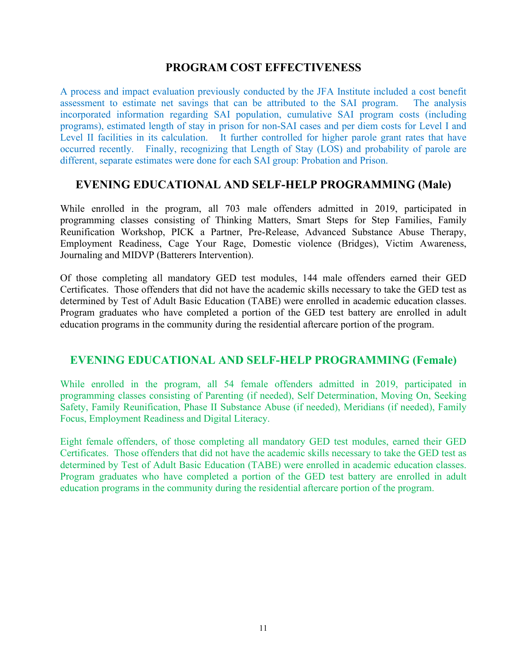#### **PROGRAM COST EFFECTIVENESS**

A process and impact evaluation previously conducted by the JFA Institute included a cost benefit assessment to estimate net savings that can be attributed to the SAI program. The analysis incorporated information regarding SAI population, cumulative SAI program costs (including programs), estimated length of stay in prison for non-SAI cases and per diem costs for Level I and Level II facilities in its calculation. It further controlled for higher parole grant rates that have occurred recently. Finally, recognizing that Length of Stay (LOS) and probability of parole are different, separate estimates were done for each SAI group: Probation and Prison.

#### **EVENING EDUCATIONAL AND SELF-HELP PROGRAMMING (Male)**

While enrolled in the program, all 703 male offenders admitted in 2019, participated in programming classes consisting of Thinking Matters, Smart Steps for Step Families, Family Reunification Workshop, PICK a Partner, Pre-Release, Advanced Substance Abuse Therapy, Employment Readiness, Cage Your Rage, Domestic violence (Bridges), Victim Awareness, Journaling and MIDVP (Batterers Intervention).

Of those completing all mandatory GED test modules, 144 male offenders earned their GED Certificates. Those offenders that did not have the academic skills necessary to take the GED test as determined by Test of Adult Basic Education (TABE) were enrolled in academic education classes. Program graduates who have completed a portion of the GED test battery are enrolled in adult education programs in the community during the residential aftercare portion of the program.

#### **EVENING EDUCATIONAL AND SELF-HELP PROGRAMMING (Female)**

While enrolled in the program, all 54 female offenders admitted in 2019, participated in programming classes consisting of Parenting (if needed), Self Determination, Moving On, Seeking Safety, Family Reunification, Phase II Substance Abuse (if needed), Meridians (if needed), Family Focus, Employment Readiness and Digital Literacy.

Eight female offenders, of those completing all mandatory GED test modules, earned their GED Certificates. Those offenders that did not have the academic skills necessary to take the GED test as determined by Test of Adult Basic Education (TABE) were enrolled in academic education classes. Program graduates who have completed a portion of the GED test battery are enrolled in adult education programs in the community during the residential aftercare portion of the program.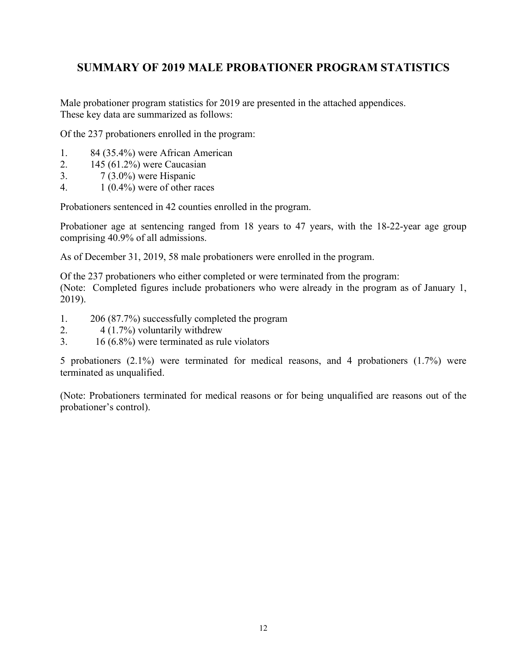### **SUMMARY OF 2019 MALE PROBATIONER PROGRAM STATISTICS**

Male probationer program statistics for 2019 are presented in the attached appendices. These key data are summarized as follows:

Of the 237 probationers enrolled in the program:

- 1. 84 (35.4%) were African American
- 2. 145 (61.2%) were Caucasian
- 3. 7 (3.0%) were Hispanic
- 4.  $1(0.4\%)$  were of other races

Probationers sentenced in 42 counties enrolled in the program.

Probationer age at sentencing ranged from 18 years to 47 years, with the 18-22-year age group comprising 40.9% of all admissions.

As of December 31, 2019, 58 male probationers were enrolled in the program.

Of the 237 probationers who either completed or were terminated from the program:

(Note: Completed figures include probationers who were already in the program as of January 1, 2019).

- 1. 206 (87.7%) successfully completed the program
- 2. 4 (1.7%) voluntarily withdrew
- 3. 16 (6.8%) were terminated as rule violators

5 probationers (2.1%) were terminated for medical reasons, and 4 probationers (1.7%) were terminated as unqualified.

(Note: Probationers terminated for medical reasons or for being unqualified are reasons out of the probationer's control).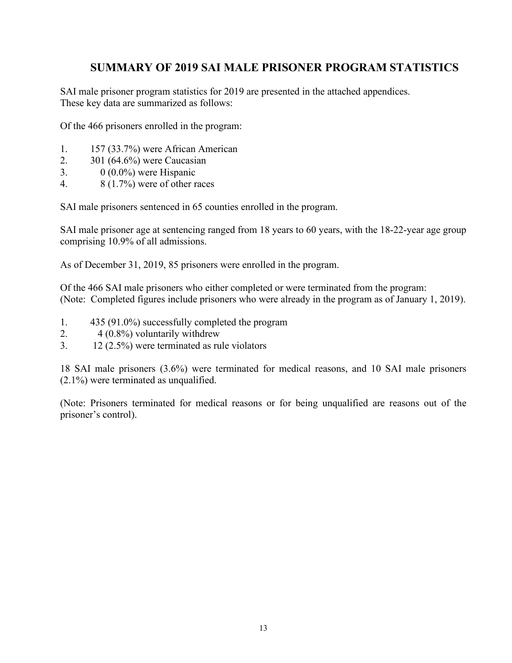### **SUMMARY OF 2019 SAI MALE PRISONER PROGRAM STATISTICS**

SAI male prisoner program statistics for 2019 are presented in the attached appendices. These key data are summarized as follows:

Of the 466 prisoners enrolled in the program:

- 1. 157 (33.7%) were African American
- 2. 301 (64.6%) were Caucasian
- 3. 0 (0.0%) were Hispanic
- 4. 8 (1.7%) were of other races

SAI male prisoners sentenced in 65 counties enrolled in the program.

SAI male prisoner age at sentencing ranged from 18 years to 60 years, with the 18-22-year age group comprising 10.9% of all admissions.

As of December 31, 2019, 85 prisoners were enrolled in the program.

Of the 466 SAI male prisoners who either completed or were terminated from the program: (Note: Completed figures include prisoners who were already in the program as of January 1, 2019).

- 1. 435 (91.0%) successfully completed the program
- 2. 4 (0.8%) voluntarily withdrew
- 3. 12 (2.5%) were terminated as rule violators

18 SAI male prisoners (3.6%) were terminated for medical reasons, and 10 SAI male prisoners (2.1%) were terminated as unqualified.

(Note: Prisoners terminated for medical reasons or for being unqualified are reasons out of the prisoner's control).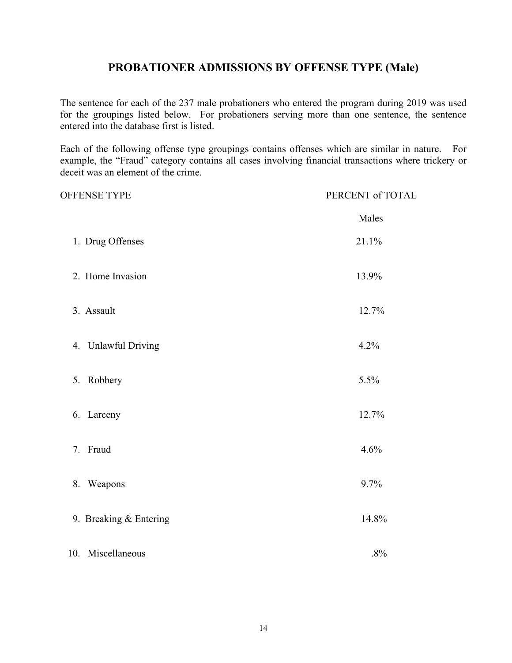## **PROBATIONER ADMISSIONS BY OFFENSE TYPE (Male)**

The sentence for each of the 237 male probationers who entered the program during 2019 was used for the groupings listed below. For probationers serving more than one sentence, the sentence entered into the database first is listed.

Each of the following offense type groupings contains offenses which are similar in nature. For example, the "Fraud" category contains all cases involving financial transactions where trickery or deceit was an element of the crime.

| OFFENSE TYPE           | PERCENT of TOTAL |
|------------------------|------------------|
|                        | Males            |
| 1. Drug Offenses       | 21.1%            |
| 2. Home Invasion       | 13.9%            |
| 3. Assault             | 12.7%            |
| 4. Unlawful Driving    | 4.2%             |
| 5. Robbery             | 5.5%             |
| 6. Larceny             | 12.7%            |
| 7. Fraud               | 4.6%             |
| 8. Weapons             | 9.7%             |
| 9. Breaking & Entering | 14.8%            |
| 10. Miscellaneous      | .8%              |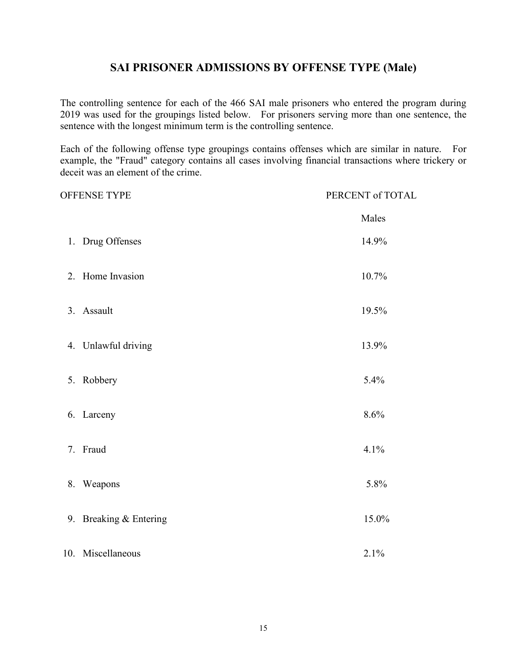## **SAI PRISONER ADMISSIONS BY OFFENSE TYPE (Male)**

The controlling sentence for each of the 466 SAI male prisoners who entered the program during 2019 was used for the groupings listed below. For prisoners serving more than one sentence, the sentence with the longest minimum term is the controlling sentence.

Each of the following offense type groupings contains offenses which are similar in nature. For example, the "Fraud" category contains all cases involving financial transactions where trickery or deceit was an element of the crime.

|    | OFFENSE TYPE           | PERCENT of TOTAL |
|----|------------------------|------------------|
|    |                        | Males            |
|    | 1. Drug Offenses       | 14.9%            |
|    | 2. Home Invasion       | 10.7%            |
|    | 3. Assault             | 19.5%            |
|    | 4. Unlawful driving    | 13.9%            |
|    | 5. Robbery             | 5.4%             |
|    | 6. Larceny             | 8.6%             |
|    | 7. Fraud               | 4.1%             |
| 8. | Weapons                | 5.8%             |
|    | 9. Breaking & Entering | 15.0%            |
|    | 10. Miscellaneous      | 2.1%             |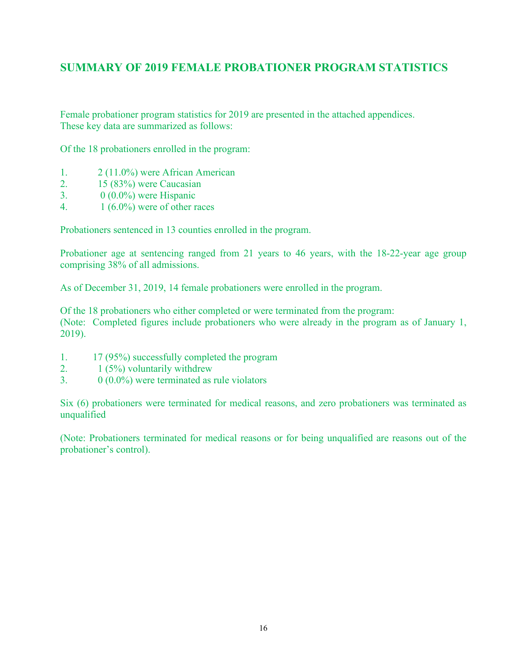### **SUMMARY OF 2019 FEMALE PROBATIONER PROGRAM STATISTICS**

Female probationer program statistics for 2019 are presented in the attached appendices. These key data are summarized as follows:

Of the 18 probationers enrolled in the program:

- 1. 2 (11.0%) were African American
- 2. 15 (83%) were Caucasian
- 3.  $0(0.0\%)$  were Hispanic
- 4.  $1(6.0\%)$  were of other races

Probationers sentenced in 13 counties enrolled in the program.

Probationer age at sentencing ranged from 21 years to 46 years, with the 18-22-year age group comprising 38% of all admissions.

As of December 31, 2019, 14 female probationers were enrolled in the program.

Of the 18 probationers who either completed or were terminated from the program: (Note: Completed figures include probationers who were already in the program as of January 1, 2019).

- 1. 17 (95%) successfully completed the program
- 2.  $1 (5\%)$  voluntarily withdrew
- 3.  $0 \ (0.0\%)$  were terminated as rule violators

Six (6) probationers were terminated for medical reasons, and zero probationers was terminated as unqualified

(Note: Probationers terminated for medical reasons or for being unqualified are reasons out of the probationer's control).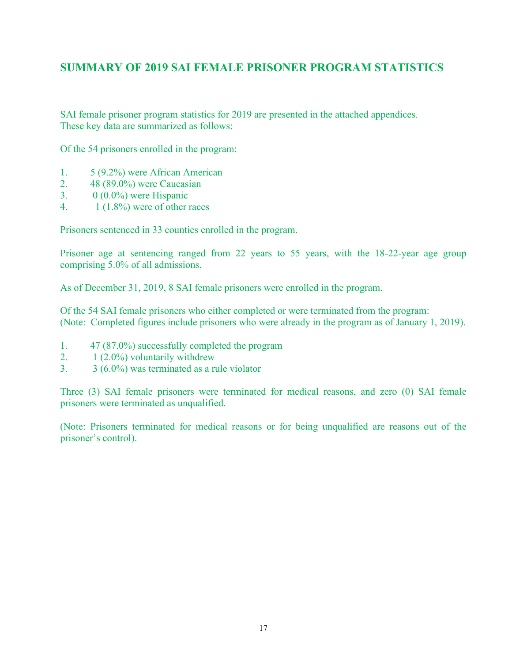### **SUMMARY OF 2019 SAI FEMALE PRISONER PROGRAM STATISTICS**

SAI female prisoner program statistics for 2019 are presented in the attached appendices. These key data are summarized as follows:

Of the 54 prisoners enrolled in the program:

- 1. 5 (9.2%) were African American
- 2. 48 (89.0%) were Caucasian
- 3.  $0 \ (0.0\%)$  were Hispanic
- 4.  $1(1.8\%)$  were of other races

Prisoners sentenced in 33 counties enrolled in the program.

Prisoner age at sentencing ranged from 22 years to 55 years, with the 18-22-year age group comprising 5.0% of all admissions.

As of December 31, 2019, 8 SAI female prisoners were enrolled in the program.

Of the 54 SAI female prisoners who either completed or were terminated from the program: (Note: Completed figures include prisoners who were already in the program as of January 1, 2019).

- 1. 47 (87.0%) successfully completed the program
- 2.  $1 (2.0\%)$  voluntarily withdrew
- $3. 3 (6.0\%)$  was terminated as a rule violator

Three (3) SAI female prisoners were terminated for medical reasons, and zero (0) SAI female prisoners were terminated as unqualified.

(Note: Prisoners terminated for medical reasons or for being unqualified are reasons out of the prisoner's control).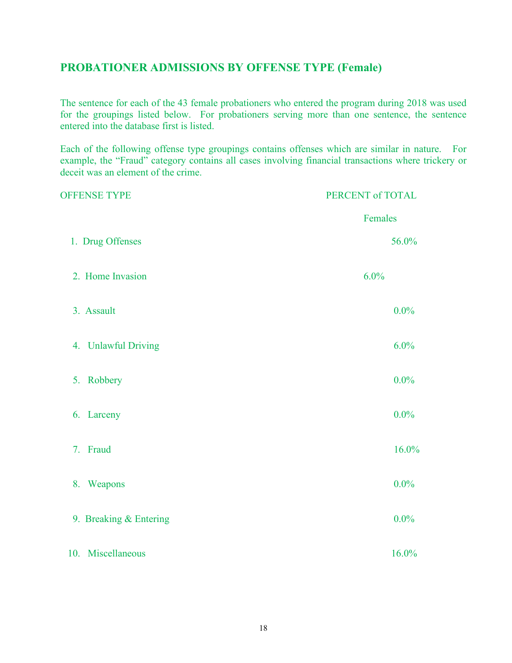## **PROBATIONER ADMISSIONS BY OFFENSE TYPE (Female)**

The sentence for each of the 43 female probationers who entered the program during 2018 was used for the groupings listed below. For probationers serving more than one sentence, the sentence entered into the database first is listed.

Each of the following offense type groupings contains offenses which are similar in nature. For example, the "Fraud" category contains all cases involving financial transactions where trickery or deceit was an element of the crime.

| <b>OFFENSE TYPE</b>    | PERCENT of TOTAL |
|------------------------|------------------|
|                        | Females          |
| 1. Drug Offenses       | 56.0%            |
| 2. Home Invasion       | 6.0%             |
| 3. Assault             | $0.0\%$          |
| 4. Unlawful Driving    | 6.0%             |
| Robbery<br>5.          | $0.0\%$          |
| 6. Larceny             | $0.0\%$          |
| 7. Fraud               | 16.0%            |
| 8. Weapons             | $0.0\%$          |
| 9. Breaking & Entering | $0.0\%$          |
| 10. Miscellaneous      | 16.0%            |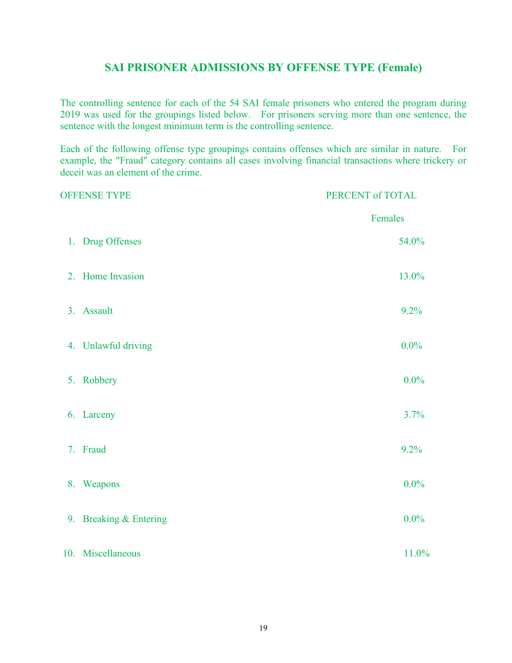#### **SAI PRISONER ADMISSIONS BY OFFENSE TYPE (Female)**

The controlling sentence for each of the 54 SAI female prisoners who entered the program during 2019 was used for the groupings listed below. For prisoners serving more than one sentence, the sentence with the longest minimum term is the controlling sentence.

Each of the following offense type groupings contains offenses which are similar in nature. For example, the "Fraud" category contains all cases involving financial transactions where trickery or deceit was an element of the crime.

| <b>OFFENSE TYPE</b>    | PERCENT of TOTAL |
|------------------------|------------------|
|                        | Females          |
| 1. Drug Offenses       | 54.0%            |
| 2. Home Invasion       | 13.0%            |
| 3. Assault             | 9.2%             |
| 4. Unlawful driving    | $0.0\%$          |
| 5. Robbery             | $0.0\%$          |
| 6. Larceny             | 3.7%             |
| 7. Fraud               | 9.2%             |
| 8. Weapons             | $0.0\%$          |
| 9. Breaking & Entering | $0.0\%$          |
| 10. Miscellaneous      | 11.0%            |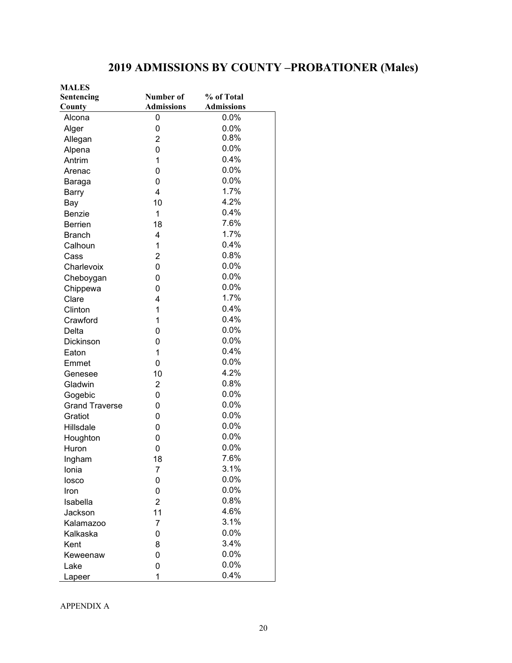## **2019 ADMISSIONS BY COUNTY –PROBATIONER (Males)**

| <b>MALES</b>          |                   |                   |  |  |
|-----------------------|-------------------|-------------------|--|--|
| Sentencing            | Number of         | % of Total        |  |  |
| County                | <b>Admissions</b> | <b>Admissions</b> |  |  |
| Alcona                | 0                 | 0.0%              |  |  |
| Alger                 | 0                 | 0.0%              |  |  |
| Allegan               | $\overline{2}$    | 0.8%              |  |  |
| Alpena                | 0                 | 0.0%              |  |  |
| Antrim                | 1                 | 0.4%              |  |  |
| Arenac                | 0                 | 0.0%              |  |  |
| Baraga                | 0                 | 0.0%              |  |  |
| Barry                 | $\overline{4}$    | 1.7%              |  |  |
| Bay                   | 10                | 4.2%              |  |  |
| Benzie                | 1                 | 0.4%              |  |  |
| <b>Berrien</b>        | 18                | 7.6%              |  |  |
| <b>Branch</b>         | 4                 | 1.7%              |  |  |
| Calhoun               | 1                 | 0.4%              |  |  |
| Cass                  | $\overline{2}$    | 0.8%              |  |  |
| Charlevoix            | 0                 | 0.0%              |  |  |
| Cheboygan             | 0                 | 0.0%              |  |  |
| Chippewa              | 0                 | 0.0%              |  |  |
| Clare                 | 4                 | 1.7%              |  |  |
| Clinton               | $\mathbf{1}$      | 0.4%              |  |  |
| Crawford              | 1                 | 0.4%              |  |  |
| Delta                 | 0                 | 0.0%              |  |  |
| <b>Dickinson</b>      | 0                 | 0.0%              |  |  |
| Eaton                 | 1                 | 0.4%              |  |  |
| Emmet                 | 0                 | 0.0%              |  |  |
| Genesee               | 10                | 4.2%              |  |  |
| Gladwin               | $\overline{2}$    | 0.8%              |  |  |
| Gogebic               | 0                 | 0.0%              |  |  |
| <b>Grand Traverse</b> | 0                 | 0.0%              |  |  |
| Gratiot               | 0                 | 0.0%              |  |  |
| Hillsdale             | 0                 | 0.0%              |  |  |
| Houghton              | 0                 | 0.0%              |  |  |
| Huron                 | 0                 | 0.0%              |  |  |
| Ingham                | 18                | 7.6%              |  |  |
| Ionia                 | 7                 | 3.1%              |  |  |
| losco                 | 0                 | 0.0%              |  |  |
| Iron                  | 0                 | 0.0%              |  |  |
| Isabella              | $\overline{2}$    | 0.8%              |  |  |
| Jackson               | 11                | 4.6%              |  |  |
| Kalamazoo             | 7                 | 3.1%              |  |  |
| Kalkaska              | 0                 | 0.0%              |  |  |
| Kent                  | 8                 | 3.4%              |  |  |
| Keweenaw              | 0                 | 0.0%              |  |  |
| Lake                  | 0                 | 0.0%              |  |  |
| Lapeer                | 1                 | 0.4%              |  |  |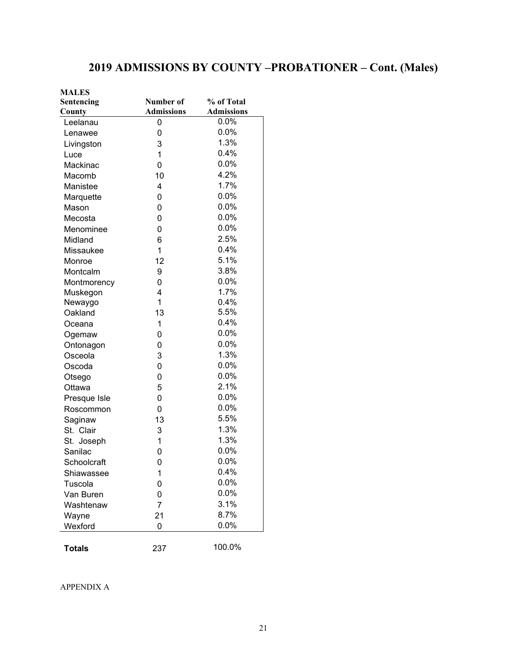## **2019 ADMISSIONS BY COUNTY –PROBATIONER – Cont. (Males)**

| <b>MALES</b>  |                   |                   |
|---------------|-------------------|-------------------|
| Sentencing    | Number of         | % of Total        |
| County        | <b>Admissions</b> | <b>Admissions</b> |
| Leelanau      | 0                 | $0.0\%$           |
| Lenawee       | 0                 | 0.0%              |
| Livingston    | 3                 | 1.3%              |
| Luce          | 1                 | 0.4%              |
| Mackinac      | 0                 | 0.0%              |
| Macomb        | 10                | 4.2%              |
| Manistee      | $\overline{4}$    | 1.7%              |
| Marquette     | 0                 | 0.0%              |
| Mason         | 0                 | 0.0%              |
| Mecosta       | 0                 | 0.0%              |
| Menominee     | 0                 | 0.0%              |
| Midland       | 6                 | 2.5%              |
| Missaukee     | 1                 | 0.4%              |
| Monroe        | 12                | 5.1%              |
| Montcalm      | 9                 | 3.8%              |
| Montmorency   | 0                 | 0.0%              |
| Muskegon      | 4                 | 1.7%              |
| Newaygo       | 1                 | 0.4%              |
| Oakland       | 13                | 5.5%              |
| Oceana        | 1                 | 0.4%              |
| Ogemaw        | 0                 | 0.0%              |
| Ontonagon     | 0                 | 0.0%              |
| Osceola       | 3                 | 1.3%              |
| Oscoda        | 0                 | 0.0%              |
| Otsego        | 0                 | 0.0%              |
| Ottawa        | 5                 | 2.1%              |
| Presque Isle  | 0                 | 0.0%              |
| Roscommon     | 0                 | 0.0%              |
| Saginaw       | 13                | 5.5%              |
| St. Clair     | 3                 | 1.3%              |
| St. Joseph    | 1                 | 1.3%              |
| Sanilac       | 0                 | 0.0%              |
| Schoolcraft   | 0                 | $0.0\%$           |
| Shiawassee    | 1                 | 0.4%              |
| Tuscola       | 0                 | 0.0%              |
| Van Buren     | 0                 | 0.0%              |
| Washtenaw     | $\overline{7}$    | 3.1%              |
| Wayne         | 21                | 8.7%              |
| Wexford       | 0                 | 0.0%              |
|               |                   |                   |
| <b>Totals</b> | 237               | 100.0%            |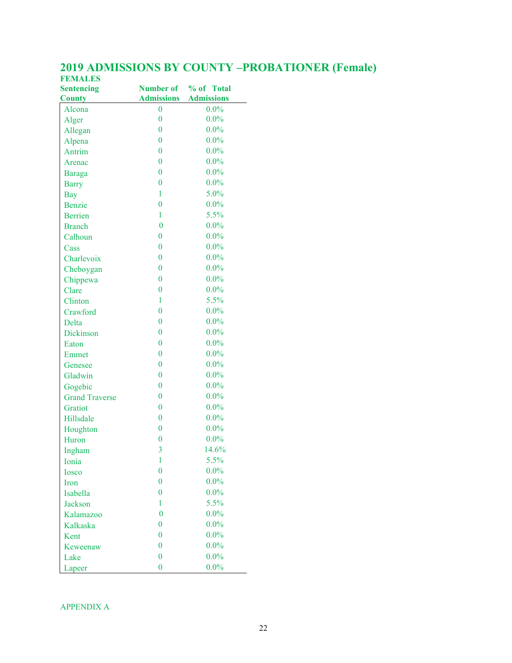| <b>Sentencing</b>     |                  | Number of % of Total         |
|-----------------------|------------------|------------------------------|
| <b>County</b>         |                  | <b>Admissions Admissions</b> |
| Alcona                | 0                | $0.0\%$                      |
| Alger                 | $\overline{0}$   | $0.0\%$                      |
| Allegan               | $\overline{0}$   | $0.0\%$                      |
| Alpena                | $\overline{0}$   | $0.0\%$                      |
| Antrim                | $\overline{0}$   | $0.0\%$                      |
| Arenac                | $\overline{0}$   | $0.0\%$                      |
| <b>Baraga</b>         | $\overline{0}$   | $0.0\%$                      |
| <b>Barry</b>          | $\overline{0}$   | $0.0\%$                      |
| <b>Bay</b>            | 1                | 5.0%                         |
| <b>Benzie</b>         | $\overline{0}$   | $0.0\%$                      |
| <b>Berrien</b>        | 1                | 5.5%                         |
| <b>Branch</b>         | $\bf{0}$         | $0.0\%$                      |
| Calhoun               | $\overline{0}$   | $0.0\%$                      |
| Cass                  | $\overline{0}$   | $0.0\%$                      |
| Charlevoix            | $\overline{0}$   | $0.0\%$                      |
| Cheboygan             | $\overline{0}$   | $0.0\%$                      |
| Chippewa              | $\overline{0}$   | $0.0\%$                      |
| Clare                 | $\overline{0}$   | $0.0\%$                      |
| Clinton               | 1                | 5.5%                         |
| Crawford              | $\overline{0}$   | $0.0\%$                      |
| Delta                 | $\overline{0}$   | $0.0\%$                      |
| Dickinson             | $\overline{0}$   | $0.0\%$                      |
| Eaton                 | $\overline{0}$   | $0.0\%$                      |
| Emmet                 | $\overline{0}$   | $0.0\%$                      |
| Genesee               | $\overline{0}$   | $0.0\%$                      |
| Gladwin               | $\overline{0}$   | $0.0\%$                      |
| Gogebic               | $\overline{0}$   | $0.0\%$                      |
| <b>Grand Traverse</b> | $\overline{0}$   | $0.0\%$                      |
| Gratiot               | $\overline{0}$   | $0.0\%$                      |
| Hillsdale             | $\overline{0}$   | $0.0\%$                      |
| Houghton              | $\overline{0}$   | $0.0\%$                      |
| Huron                 | $\overline{0}$   | $0.0\%$                      |
| Ingham                | 3                | 14.6%                        |
| Ionia                 | 1                | 5.5%                         |
| Iosco                 | $\overline{0}$   | $0.0\%$                      |
| Iron                  | $\overline{0}$   | $0.0\%$                      |
| Isabella              | $\overline{0}$   | $0.0\%$                      |
| <b>Jackson</b>        | $\mathbf{1}$     | 5.5%                         |
| Kalamazoo             | $\bf{0}$         | $0.0\%$                      |
| Kalkaska              | $\overline{0}$   | $0.0\%$                      |
| Kent                  | $\overline{0}$   | $0.0\%$                      |
| Keweenaw              | $\overline{0}$   | $0.0\%$                      |
| Lake                  | $\overline{0}$   | $0.0\%$                      |
| Lapeer                | $\boldsymbol{0}$ | $0.0\%$                      |

#### **2019 ADMISSIONS BY COUNTY –PROBATIONER (Female) FEMALES**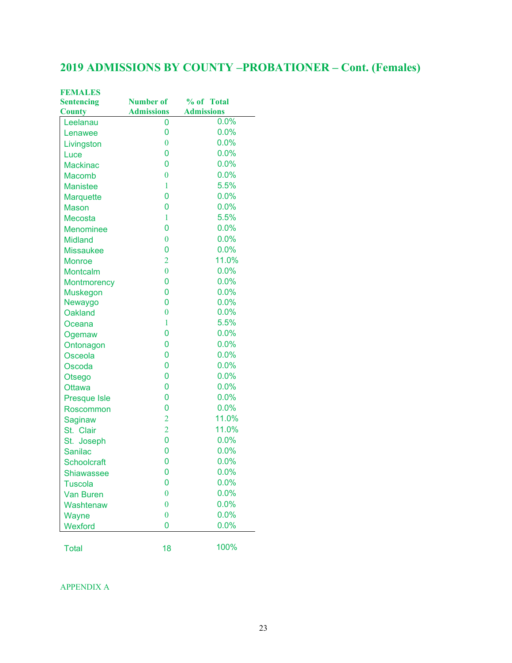## **2019 ADMISSIONS BY COUNTY –PROBATIONER – Cont. (Females)**

| <b>FEMALES</b>      |                   |                   |  |
|---------------------|-------------------|-------------------|--|
| <b>Sentencing</b>   | <b>Number of</b>  | % of Total        |  |
| <b>County</b>       | <b>Admissions</b> | <b>Admissions</b> |  |
| Leelanau            | 0                 | 0.0%              |  |
| Lenawee             | 0                 | 0.0%              |  |
| Livingston          | $\boldsymbol{0}$  | 0.0%              |  |
| Luce                | 0                 | 0.0%              |  |
| <b>Mackinac</b>     | $\overline{0}$    | 0.0%              |  |
| Macomb              | $\bf{0}$          | 0.0%              |  |
| <b>Manistee</b>     | $\mathbf{1}$      | 5.5%              |  |
| <b>Marquette</b>    | $\overline{0}$    | 0.0%              |  |
| <b>Mason</b>        | $\overline{0}$    | 0.0%              |  |
| <b>Mecosta</b>      | $\mathbf{1}$      | 5.5%              |  |
| <b>Menominee</b>    | $\overline{0}$    | 0.0%              |  |
| <b>Midland</b>      | $\bf{0}$          | 0.0%              |  |
| <b>Missaukee</b>    | $\overline{0}$    | 0.0%              |  |
| <b>Monroe</b>       | $\overline{2}$    | 11.0%             |  |
| Montcalm            | $\overline{0}$    | 0.0%              |  |
| <b>Montmorency</b>  | 0                 | 0.0%              |  |
| <b>Muskegon</b>     | $\overline{0}$    | 0.0%              |  |
| Newaygo             | $\overline{0}$    | 0.0%              |  |
| <b>Oakland</b>      | $\overline{0}$    | 0.0%              |  |
| Oceana              | $\mathbf{1}$      | 5.5%              |  |
| Ogemaw              | $\mathbf 0$       | 0.0%              |  |
| Ontonagon           | $\overline{0}$    | 0.0%              |  |
| Osceola             | 0                 | 0.0%              |  |
| Oscoda              | $\overline{0}$    | 0.0%              |  |
| Otsego              | $\overline{0}$    | 0.0%              |  |
| <b>Ottawa</b>       | $\overline{0}$    | 0.0%              |  |
| <b>Presque Isle</b> | $\mathbf 0$       | 0.0%              |  |
| Roscommon           | $\mathbf 0$       | 0.0%              |  |
| Saginaw             | $\overline{2}$    | 11.0%             |  |
| St. Clair           | $\overline{2}$    | 11.0%             |  |
| St. Joseph          | 0                 | 0.0%              |  |
| <b>Sanilac</b>      | 0                 | 0.0%              |  |
| <b>Schoolcraft</b>  | 0                 | $0.0\%$           |  |
| <b>Shiawassee</b>   | 0                 | 0.0%              |  |
| <b>Tuscola</b>      | 0                 | 0.0%              |  |
| <b>Van Buren</b>    | $\overline{0}$    | 0.0%              |  |
| Washtenaw           | $\boldsymbol{0}$  | 0.0%              |  |
| Wayne               | $\bf{0}$          | 0.0%              |  |
| Wexford             | 0                 | 0.0%              |  |
|                     |                   |                   |  |
| <b>Total</b>        | 18                | 100%              |  |
|                     |                   |                   |  |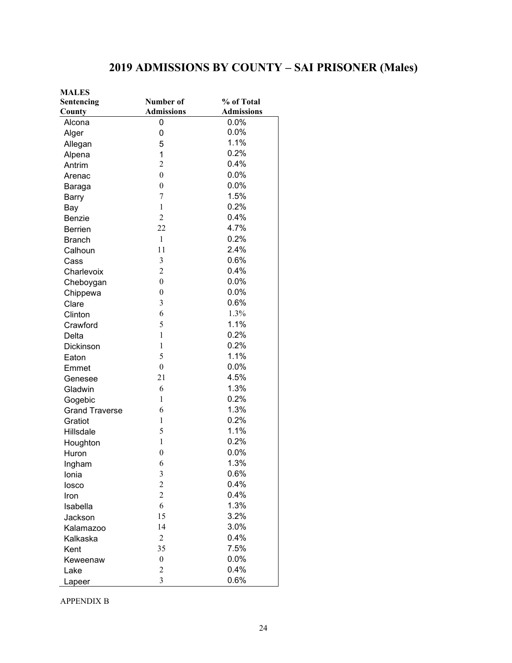## **2019 ADMISSIONS BY COUNTY – SAI PRISONER (Males)**

| <b>MALES</b>          |                   |                   |
|-----------------------|-------------------|-------------------|
| Sentencing            | Number of         | % of Total        |
| County                | <b>Admissions</b> | <b>Admissions</b> |
| Alcona                | 0                 | 0.0%              |
| Alger                 | 0                 | 0.0%              |
| Allegan               | 5                 | 1.1%              |
| Alpena                | 1                 | 0.2%              |
| Antrim                | $\overline{c}$    | 0.4%              |
| Arenac                | $\overline{0}$    | 0.0%              |
| Baraga                | $\boldsymbol{0}$  | 0.0%              |
| <b>Barry</b>          | 7                 | 1.5%              |
| Bay                   | $\mathbf{1}$      | 0.2%              |
| Benzie                | $\overline{2}$    | 0.4%              |
| <b>Berrien</b>        | 22                | 4.7%              |
| <b>Branch</b>         | $\mathbf{1}$      | 0.2%              |
| Calhoun               | 11                | 2.4%              |
| Cass                  | $\mathfrak{Z}$    | 0.6%              |
| Charlevoix            | $\overline{c}$    | 0.4%              |
| Cheboygan             | $\boldsymbol{0}$  | 0.0%              |
| Chippewa              | $\boldsymbol{0}$  | 0.0%              |
| Clare                 | 3                 | 0.6%              |
| Clinton               | 6                 | 1.3%              |
| Crawford              | 5                 | 1.1%              |
| Delta                 | $\mathbf{1}$      | 0.2%              |
| Dickinson             | 1                 | 0.2%              |
| Eaton                 | 5                 | 1.1%              |
| Emmet                 | $\boldsymbol{0}$  | 0.0%              |
| Genesee               | 21                | 4.5%              |
| Gladwin               | 6                 | 1.3%              |
| Gogebic               | $\mathbf{1}$      | 0.2%              |
| <b>Grand Traverse</b> | 6                 | 1.3%              |
| Gratiot               | 1                 | 0.2%              |
| Hillsdale             | 5                 | 1.1%              |
| Houghton              | $\mathbf{1}$      | 0.2%              |
| Huron                 | $\overline{0}$    | 0.0%              |
| Ingham                | 6                 | 1.3%              |
| Ionia                 | 3                 | 0.6%              |
| losco                 | $\overline{c}$    | 0.4%              |
| Iron                  | $\overline{c}$    | 0.4%              |
| Isabella              | 6                 | 1.3%              |
| Jackson               | 15                | 3.2%              |
| Kalamazoo             | 14                | 3.0%              |
| Kalkaska              | $\mathbf{2}$      | 0.4%              |
| Kent                  | 35                | 7.5%              |
| Keweenaw              | $\boldsymbol{0}$  | 0.0%              |
| Lake                  | $\overline{c}$    | 0.4%              |
| Lapeer                | 3                 | 0.6%              |

APPENDIX B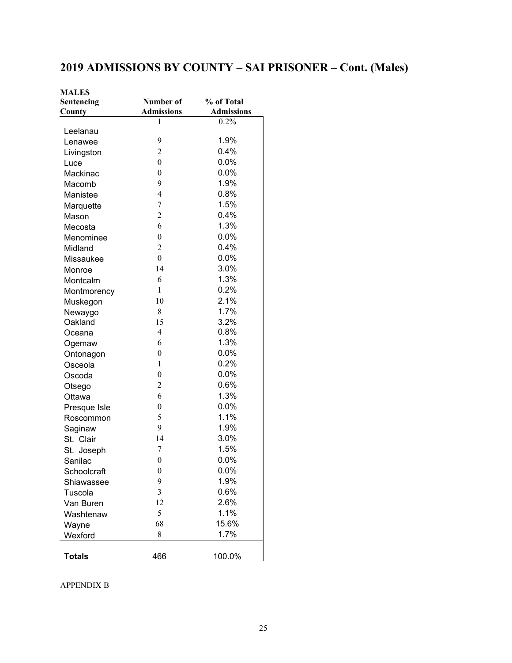## **2019 ADMISSIONS BY COUNTY – SAI PRISONER – Cont. (Males)**

| <b>MALES</b>  |                   |                   |
|---------------|-------------------|-------------------|
| Sentencing    | Number of         | % of Total        |
| County        | <b>Admissions</b> | <b>Admissions</b> |
|               | 1                 | 0.2%              |
| Leelanau      |                   | 1.9%              |
| Lenawee       | 9                 |                   |
| Livingston    | $\overline{2}$    | 0.4%              |
| Luce          | $\theta$          | 0.0%              |
| Mackinac      | $\boldsymbol{0}$  | 0.0%              |
| Macomb        | 9                 | 1.9%              |
| Manistee      | $\overline{4}$    | 0.8%              |
| Marquette     | $\tau$            | 1.5%              |
| Mason         | $\overline{2}$    | 0.4%              |
| Mecosta       | 6                 | 1.3%              |
| Menominee     | $\boldsymbol{0}$  | 0.0%              |
| Midland       | $\overline{2}$    | 0.4%              |
| Missaukee     | $\boldsymbol{0}$  | 0.0%              |
| Monroe        | 14                | 3.0%              |
| Montcalm      | 6                 | 1.3%              |
| Montmorency   | $\mathbf{1}$      | 0.2%              |
| Muskegon      | 10                | 2.1%              |
| Newaygo       | 8                 | 1.7%              |
| Oakland       | 15                | 3.2%              |
| Oceana        | 4                 | 0.8%              |
| Ogemaw        | 6                 | 1.3%              |
| Ontonagon     | $\boldsymbol{0}$  | 0.0%              |
| Osceola       | $\mathbf{1}$      | 0.2%              |
| Oscoda        | $\boldsymbol{0}$  | $0.0\%$           |
| Otsego        | $\overline{c}$    | 0.6%              |
| Ottawa        | 6                 | 1.3%              |
| Presque Isle  | $\boldsymbol{0}$  | 0.0%              |
| Roscommon     | 5                 | 1.1%              |
| Saginaw       | 9                 | 1.9%              |
| St. Clair     | 14                | 3.0%              |
| St. Joseph    | 7                 | 1.5%              |
| Sanilac       | $\boldsymbol{0}$  | 0.0%              |
| Schoolcraft   | $\boldsymbol{0}$  | 0.0%              |
| Shiawassee    | 9                 | 1.9%              |
| Tuscola       | 3                 | 0.6%              |
| Van Buren     | 12                | 2.6%              |
| Washtenaw     | 5                 | 1.1%              |
| Wayne         | 68                | 15.6%             |
| Wexford       | 8                 | 1.7%              |
|               |                   |                   |
| <b>Totals</b> | 466               | 100.0%            |

APPENDIX B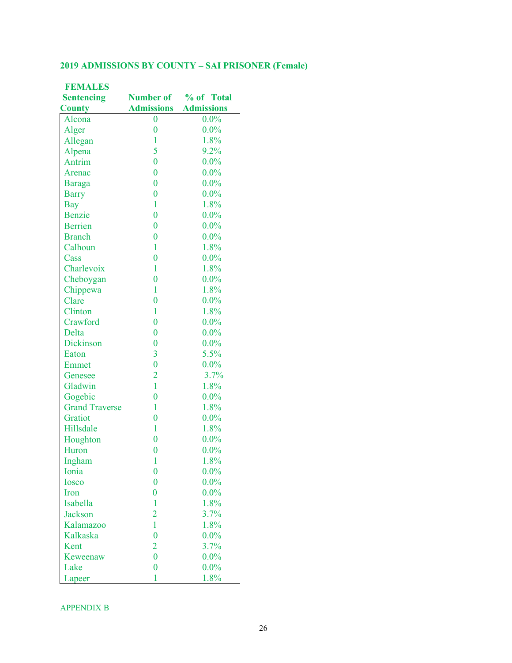#### **2019 ADMISSIONS BY COUNTY – SAI PRISONER (Female)**

| <b>FEMALES</b>        |                   |                      |
|-----------------------|-------------------|----------------------|
| <b>Sentencing</b>     |                   | Number of % of Total |
| <b>County</b>         | <b>Admissions</b> | <b>Admissions</b>    |
| Alcona                | $\boldsymbol{0}$  | $0.0\%$              |
| Alger                 | $\bf{0}$          | $0.0\%$              |
| Allegan               | 1                 | 1.8%                 |
| Alpena                | 5                 | 9.2%                 |
| Antrim                | $\overline{0}$    | $0.0\%$              |
| Arenac                | $\overline{0}$    | $0.0\%$              |
| <b>Baraga</b>         | $\overline{0}$    | $0.0\%$              |
| <b>Barry</b>          | $\overline{0}$    | $0.0\%$              |
| <b>Bay</b>            | $\mathbf{1}$      | 1.8%                 |
| Benzie                | $\overline{0}$    | $0.0\%$              |
| <b>Berrien</b>        | $\overline{0}$    | $0.0\%$              |
| <b>Branch</b>         | $\overline{0}$    | $0.0\%$              |
| Calhoun               | $\mathbf{1}$      | 1.8%                 |
| Cass                  | $\bf{0}$          | $0.0\%$              |
| Charlevoix            | $\mathbf{1}$      | 1.8%                 |
| Cheboygan             | $\overline{0}$    | $0.0\%$              |
| Chippewa              | $\mathbf{1}$      | 1.8%                 |
| Clare                 | $\overline{0}$    | $0.0\%$              |
| Clinton               | $\mathbf{1}$      | 1.8%                 |
| Crawford              | $\overline{0}$    | $0.0\%$              |
| Delta                 | $\overline{0}$    | $0.0\%$              |
| Dickinson             | $\overline{0}$    | $0.0\%$              |
| Eaton                 | $\overline{3}$    | 5.5%                 |
| Emmet                 | $\overline{0}$    | $0.0\%$              |
| Genesee               | $\overline{2}$    | 3.7%                 |
| Gladwin               | $\mathbf{1}$      | 1.8%                 |
| Gogebic               | $\overline{0}$    | $0.0\%$              |
| <b>Grand Traverse</b> | 1                 | 1.8%                 |
| Gratiot               | $\overline{0}$    | $0.0\%$              |
| Hillsdale             | $\mathbf{1}$      | 1.8%                 |
| Houghton              | $\bf{0}$          | $0.0\%$              |
| Huron                 | $\overline{0}$    | $0.0\%$              |
| Ingham                | 1                 | 1.8%                 |
| Ionia                 | $\bf{0}$          | $0.0\%$              |
| <b>Iosco</b>          | $\bf{0}$          | $0.0\%$              |
| Iron                  | $\overline{0}$    | $0.0\%$              |
| Isabella              | 1                 | 1.8%                 |
| <b>Jackson</b>        | $\overline{2}$    | 3.7%                 |
| Kalamazoo             | $\mathbf{1}$      | 1.8%                 |
| Kalkaska              | $\overline{0}$    | $0.0\%$              |
| Kent                  | $\overline{2}$    | 3.7%                 |
| Keweenaw              | $\overline{0}$    | $0.0\%$              |
| Lake                  | $\bf{0}$          | $0.0\%$              |
| Lapeer                | 1                 | 1.8%                 |

APPENDIX B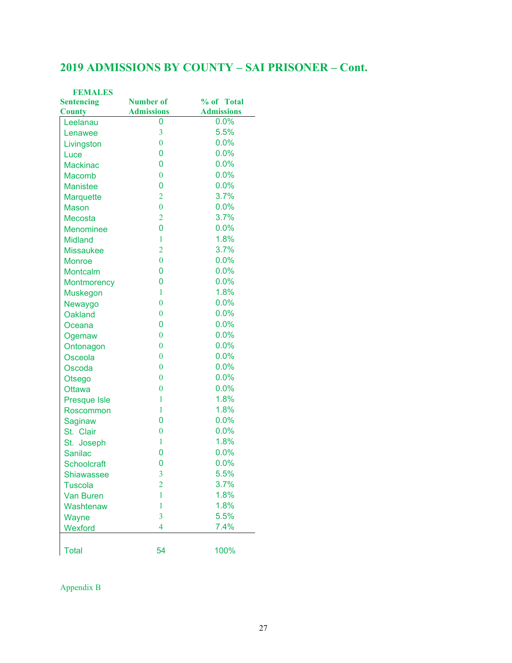### **2019 ADMISSIONS BY COUNTY – SAI PRISONER – Cont.**

| <b>Number of</b><br>% of Total<br><b>Sentencing</b><br><b>Admissions</b><br><b>Admissions</b><br>0.0%<br>0<br>Leelanau<br>5.5%<br>3<br>Lenawee<br>0.0%<br>$\bf{0}$<br>Livingston<br>0.0%<br>0<br>Luce<br>0<br>0.0%<br><b>Mackinac</b><br>0.0%<br>$\bf{0}$<br><b>Macomb</b><br>0.0%<br>0<br><b>Manistee</b><br>3.7%<br>$\overline{2}$<br><b>Marquette</b><br>$\bf{0}$<br>0.0%<br><b>Mason</b><br>3.7%<br>$\overline{2}$<br><b>Mecosta</b><br>0.0%<br>0<br><b>Menominee</b><br>1.8%<br>1<br><b>Midland</b><br>$\overline{2}$<br>3.7%<br><b>Missaukee</b><br>$\overline{0}$<br>0.0%<br><b>Monroe</b><br>0.0%<br>0<br>Montcalm<br>0.0%<br>0<br><b>Montmorency</b><br>1.8%<br>1<br><b>Muskegon</b><br>$\overline{0}$<br>0.0%<br>Newaygo<br>0.0%<br>$\bf{0}$<br><b>Oakland</b><br>0.0%<br>0<br>Oceana<br>$\bf{0}$<br>0.0%<br>Ogemaw<br>$\bf{0}$<br>0.0%<br>Ontonagon<br>0.0%<br>$\bf{0}$<br>Osceola<br>0.0%<br>$\bf{0}$<br>Oscoda<br>$\bf{0}$<br>0.0%<br>Otsego<br>$\bf{0}$<br>0.0%<br><b>Ottawa</b><br>1.8%<br>1<br><b>Presque Isle</b><br>1.8%<br>1<br>Roscommon<br>0<br>0.0%<br>Saginaw<br>0.0%<br>$\bf{0}$<br>St. Clair<br>1.8%<br>1<br>St. Joseph<br>0.0%<br>0<br><b>Sanilac</b><br>0.0%<br>0<br><b>Schoolcraft</b><br>5.5%<br>3<br>Shiawassee<br>$\overline{2}$<br>3.7%<br><b>Tuscola</b><br>1.8%<br>1<br><b>Van Buren</b><br>1.8%<br>1<br>Washtenaw<br>$\overline{3}$<br>5.5%<br>Wayne<br>7.4%<br>4<br>Wexford | <b>FEMALES</b> |    |      |
|-----------------------------------------------------------------------------------------------------------------------------------------------------------------------------------------------------------------------------------------------------------------------------------------------------------------------------------------------------------------------------------------------------------------------------------------------------------------------------------------------------------------------------------------------------------------------------------------------------------------------------------------------------------------------------------------------------------------------------------------------------------------------------------------------------------------------------------------------------------------------------------------------------------------------------------------------------------------------------------------------------------------------------------------------------------------------------------------------------------------------------------------------------------------------------------------------------------------------------------------------------------------------------------------------------------------------------------------------------------------------------------------------------------------|----------------|----|------|
|                                                                                                                                                                                                                                                                                                                                                                                                                                                                                                                                                                                                                                                                                                                                                                                                                                                                                                                                                                                                                                                                                                                                                                                                                                                                                                                                                                                                                 |                |    |      |
|                                                                                                                                                                                                                                                                                                                                                                                                                                                                                                                                                                                                                                                                                                                                                                                                                                                                                                                                                                                                                                                                                                                                                                                                                                                                                                                                                                                                                 | <b>County</b>  |    |      |
|                                                                                                                                                                                                                                                                                                                                                                                                                                                                                                                                                                                                                                                                                                                                                                                                                                                                                                                                                                                                                                                                                                                                                                                                                                                                                                                                                                                                                 |                |    |      |
|                                                                                                                                                                                                                                                                                                                                                                                                                                                                                                                                                                                                                                                                                                                                                                                                                                                                                                                                                                                                                                                                                                                                                                                                                                                                                                                                                                                                                 |                |    |      |
|                                                                                                                                                                                                                                                                                                                                                                                                                                                                                                                                                                                                                                                                                                                                                                                                                                                                                                                                                                                                                                                                                                                                                                                                                                                                                                                                                                                                                 |                |    |      |
|                                                                                                                                                                                                                                                                                                                                                                                                                                                                                                                                                                                                                                                                                                                                                                                                                                                                                                                                                                                                                                                                                                                                                                                                                                                                                                                                                                                                                 |                |    |      |
|                                                                                                                                                                                                                                                                                                                                                                                                                                                                                                                                                                                                                                                                                                                                                                                                                                                                                                                                                                                                                                                                                                                                                                                                                                                                                                                                                                                                                 |                |    |      |
|                                                                                                                                                                                                                                                                                                                                                                                                                                                                                                                                                                                                                                                                                                                                                                                                                                                                                                                                                                                                                                                                                                                                                                                                                                                                                                                                                                                                                 |                |    |      |
|                                                                                                                                                                                                                                                                                                                                                                                                                                                                                                                                                                                                                                                                                                                                                                                                                                                                                                                                                                                                                                                                                                                                                                                                                                                                                                                                                                                                                 |                |    |      |
|                                                                                                                                                                                                                                                                                                                                                                                                                                                                                                                                                                                                                                                                                                                                                                                                                                                                                                                                                                                                                                                                                                                                                                                                                                                                                                                                                                                                                 |                |    |      |
|                                                                                                                                                                                                                                                                                                                                                                                                                                                                                                                                                                                                                                                                                                                                                                                                                                                                                                                                                                                                                                                                                                                                                                                                                                                                                                                                                                                                                 |                |    |      |
|                                                                                                                                                                                                                                                                                                                                                                                                                                                                                                                                                                                                                                                                                                                                                                                                                                                                                                                                                                                                                                                                                                                                                                                                                                                                                                                                                                                                                 |                |    |      |
|                                                                                                                                                                                                                                                                                                                                                                                                                                                                                                                                                                                                                                                                                                                                                                                                                                                                                                                                                                                                                                                                                                                                                                                                                                                                                                                                                                                                                 |                |    |      |
|                                                                                                                                                                                                                                                                                                                                                                                                                                                                                                                                                                                                                                                                                                                                                                                                                                                                                                                                                                                                                                                                                                                                                                                                                                                                                                                                                                                                                 |                |    |      |
|                                                                                                                                                                                                                                                                                                                                                                                                                                                                                                                                                                                                                                                                                                                                                                                                                                                                                                                                                                                                                                                                                                                                                                                                                                                                                                                                                                                                                 |                |    |      |
|                                                                                                                                                                                                                                                                                                                                                                                                                                                                                                                                                                                                                                                                                                                                                                                                                                                                                                                                                                                                                                                                                                                                                                                                                                                                                                                                                                                                                 |                |    |      |
|                                                                                                                                                                                                                                                                                                                                                                                                                                                                                                                                                                                                                                                                                                                                                                                                                                                                                                                                                                                                                                                                                                                                                                                                                                                                                                                                                                                                                 |                |    |      |
|                                                                                                                                                                                                                                                                                                                                                                                                                                                                                                                                                                                                                                                                                                                                                                                                                                                                                                                                                                                                                                                                                                                                                                                                                                                                                                                                                                                                                 |                |    |      |
|                                                                                                                                                                                                                                                                                                                                                                                                                                                                                                                                                                                                                                                                                                                                                                                                                                                                                                                                                                                                                                                                                                                                                                                                                                                                                                                                                                                                                 |                |    |      |
|                                                                                                                                                                                                                                                                                                                                                                                                                                                                                                                                                                                                                                                                                                                                                                                                                                                                                                                                                                                                                                                                                                                                                                                                                                                                                                                                                                                                                 |                |    |      |
|                                                                                                                                                                                                                                                                                                                                                                                                                                                                                                                                                                                                                                                                                                                                                                                                                                                                                                                                                                                                                                                                                                                                                                                                                                                                                                                                                                                                                 |                |    |      |
|                                                                                                                                                                                                                                                                                                                                                                                                                                                                                                                                                                                                                                                                                                                                                                                                                                                                                                                                                                                                                                                                                                                                                                                                                                                                                                                                                                                                                 |                |    |      |
|                                                                                                                                                                                                                                                                                                                                                                                                                                                                                                                                                                                                                                                                                                                                                                                                                                                                                                                                                                                                                                                                                                                                                                                                                                                                                                                                                                                                                 |                |    |      |
|                                                                                                                                                                                                                                                                                                                                                                                                                                                                                                                                                                                                                                                                                                                                                                                                                                                                                                                                                                                                                                                                                                                                                                                                                                                                                                                                                                                                                 |                |    |      |
|                                                                                                                                                                                                                                                                                                                                                                                                                                                                                                                                                                                                                                                                                                                                                                                                                                                                                                                                                                                                                                                                                                                                                                                                                                                                                                                                                                                                                 |                |    |      |
|                                                                                                                                                                                                                                                                                                                                                                                                                                                                                                                                                                                                                                                                                                                                                                                                                                                                                                                                                                                                                                                                                                                                                                                                                                                                                                                                                                                                                 |                |    |      |
|                                                                                                                                                                                                                                                                                                                                                                                                                                                                                                                                                                                                                                                                                                                                                                                                                                                                                                                                                                                                                                                                                                                                                                                                                                                                                                                                                                                                                 |                |    |      |
|                                                                                                                                                                                                                                                                                                                                                                                                                                                                                                                                                                                                                                                                                                                                                                                                                                                                                                                                                                                                                                                                                                                                                                                                                                                                                                                                                                                                                 |                |    |      |
|                                                                                                                                                                                                                                                                                                                                                                                                                                                                                                                                                                                                                                                                                                                                                                                                                                                                                                                                                                                                                                                                                                                                                                                                                                                                                                                                                                                                                 |                |    |      |
|                                                                                                                                                                                                                                                                                                                                                                                                                                                                                                                                                                                                                                                                                                                                                                                                                                                                                                                                                                                                                                                                                                                                                                                                                                                                                                                                                                                                                 |                |    |      |
|                                                                                                                                                                                                                                                                                                                                                                                                                                                                                                                                                                                                                                                                                                                                                                                                                                                                                                                                                                                                                                                                                                                                                                                                                                                                                                                                                                                                                 |                |    |      |
|                                                                                                                                                                                                                                                                                                                                                                                                                                                                                                                                                                                                                                                                                                                                                                                                                                                                                                                                                                                                                                                                                                                                                                                                                                                                                                                                                                                                                 |                |    |      |
|                                                                                                                                                                                                                                                                                                                                                                                                                                                                                                                                                                                                                                                                                                                                                                                                                                                                                                                                                                                                                                                                                                                                                                                                                                                                                                                                                                                                                 |                |    |      |
|                                                                                                                                                                                                                                                                                                                                                                                                                                                                                                                                                                                                                                                                                                                                                                                                                                                                                                                                                                                                                                                                                                                                                                                                                                                                                                                                                                                                                 |                |    |      |
|                                                                                                                                                                                                                                                                                                                                                                                                                                                                                                                                                                                                                                                                                                                                                                                                                                                                                                                                                                                                                                                                                                                                                                                                                                                                                                                                                                                                                 |                |    |      |
|                                                                                                                                                                                                                                                                                                                                                                                                                                                                                                                                                                                                                                                                                                                                                                                                                                                                                                                                                                                                                                                                                                                                                                                                                                                                                                                                                                                                                 |                |    |      |
|                                                                                                                                                                                                                                                                                                                                                                                                                                                                                                                                                                                                                                                                                                                                                                                                                                                                                                                                                                                                                                                                                                                                                                                                                                                                                                                                                                                                                 |                |    |      |
|                                                                                                                                                                                                                                                                                                                                                                                                                                                                                                                                                                                                                                                                                                                                                                                                                                                                                                                                                                                                                                                                                                                                                                                                                                                                                                                                                                                                                 |                |    |      |
|                                                                                                                                                                                                                                                                                                                                                                                                                                                                                                                                                                                                                                                                                                                                                                                                                                                                                                                                                                                                                                                                                                                                                                                                                                                                                                                                                                                                                 |                |    |      |
|                                                                                                                                                                                                                                                                                                                                                                                                                                                                                                                                                                                                                                                                                                                                                                                                                                                                                                                                                                                                                                                                                                                                                                                                                                                                                                                                                                                                                 |                |    |      |
|                                                                                                                                                                                                                                                                                                                                                                                                                                                                                                                                                                                                                                                                                                                                                                                                                                                                                                                                                                                                                                                                                                                                                                                                                                                                                                                                                                                                                 |                |    |      |
|                                                                                                                                                                                                                                                                                                                                                                                                                                                                                                                                                                                                                                                                                                                                                                                                                                                                                                                                                                                                                                                                                                                                                                                                                                                                                                                                                                                                                 |                |    |      |
|                                                                                                                                                                                                                                                                                                                                                                                                                                                                                                                                                                                                                                                                                                                                                                                                                                                                                                                                                                                                                                                                                                                                                                                                                                                                                                                                                                                                                 | <b>Total</b>   | 54 | 100% |

Appendix B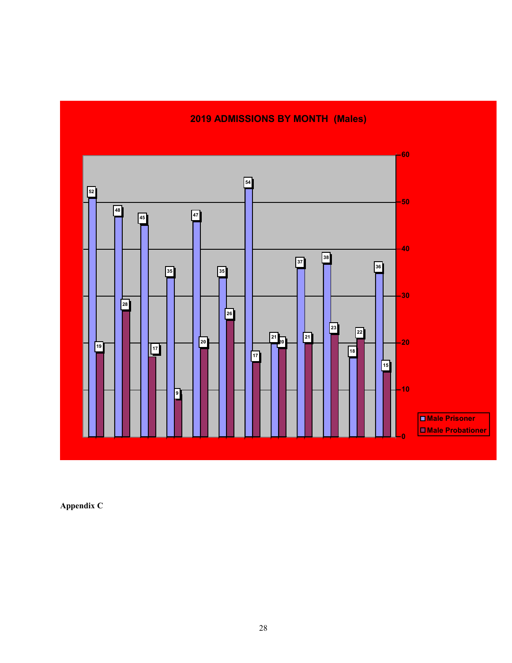### **2019 ADMISSIONS BY MONTH (Males)**



**Appendix C**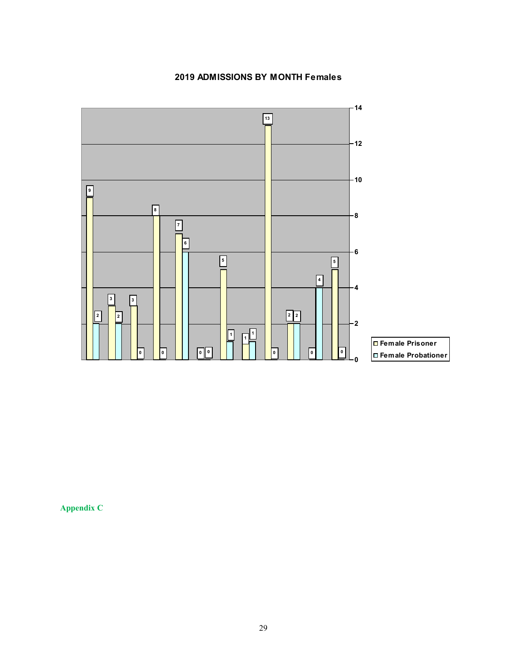#### **2019 ADMISSIONS BY MONTH Females**



**Appendix C**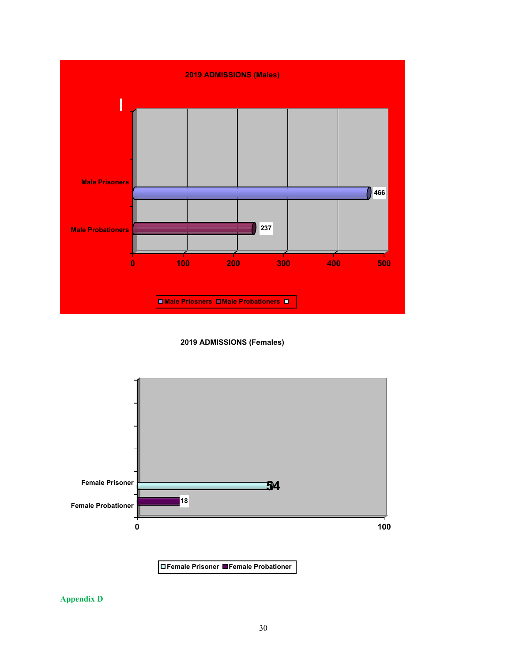

#### **2019 ADMISSIONS (Females)**



**Appendix D**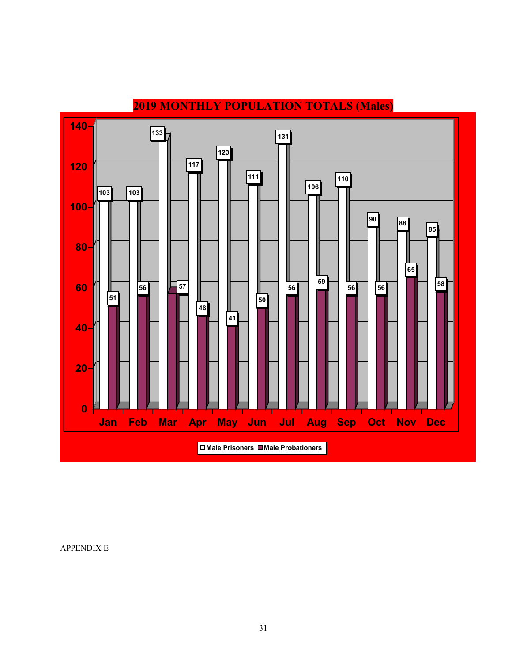

## **MONTHLY POPULATION TOTALS (Males)**

APPENDIX E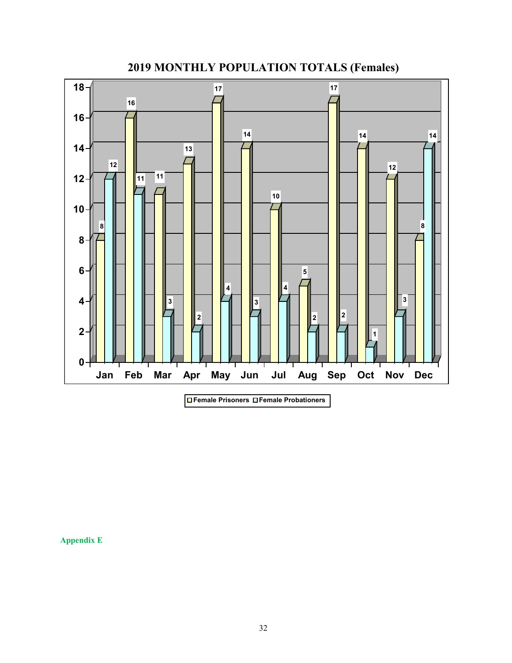

**MONTHLY POPULATION TOTALS (Females)**

**Appendix E**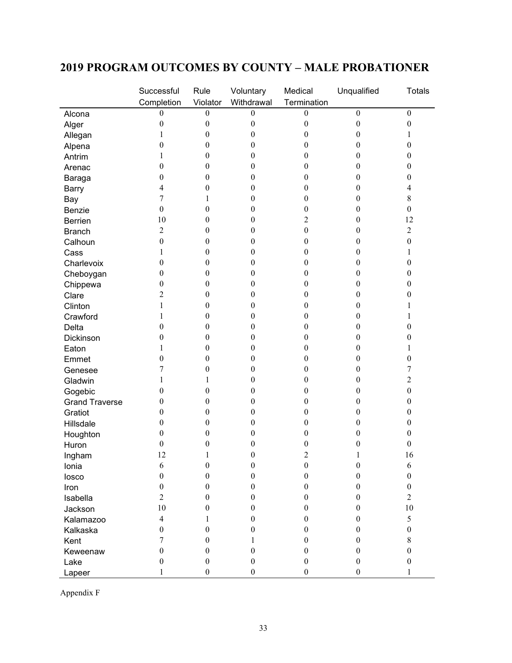### **2019 PROGRAM OUTCOMES BY COUNTY – MALE PROBATIONER**

|                       | Successful       | Rule             | Voluntary        | Medical          | Unqualified      | <b>Totals</b>    |
|-----------------------|------------------|------------------|------------------|------------------|------------------|------------------|
|                       | Completion       | Violator         | Withdrawal       | Termination      |                  |                  |
| Alcona                | 0                | $\boldsymbol{0}$ | $\boldsymbol{0}$ | $\boldsymbol{0}$ | $\boldsymbol{0}$ | $\boldsymbol{0}$ |
| Alger                 | $\boldsymbol{0}$ | $\boldsymbol{0}$ | $\boldsymbol{0}$ | $\boldsymbol{0}$ | $\boldsymbol{0}$ | $\boldsymbol{0}$ |
| Allegan               | 1                | $\boldsymbol{0}$ | $\boldsymbol{0}$ | $\boldsymbol{0}$ | $\mathbf{0}$     | 1                |
| Alpena                | $\boldsymbol{0}$ | $\theta$         | $\boldsymbol{0}$ | $\boldsymbol{0}$ | $\boldsymbol{0}$ | $\boldsymbol{0}$ |
| Antrim                | 1                | $\boldsymbol{0}$ | $\theta$         | $\boldsymbol{0}$ | $\mathbf{0}$     | $\boldsymbol{0}$ |
| Arenac                | $\boldsymbol{0}$ | $\boldsymbol{0}$ | $\boldsymbol{0}$ | $\boldsymbol{0}$ | $\boldsymbol{0}$ | $\boldsymbol{0}$ |
| Baraga                | $\boldsymbol{0}$ | $\boldsymbol{0}$ | $\boldsymbol{0}$ | $\boldsymbol{0}$ | $\boldsymbol{0}$ | $\boldsymbol{0}$ |
| Barry                 | 4                | $\boldsymbol{0}$ | $\boldsymbol{0}$ | $\boldsymbol{0}$ | $\boldsymbol{0}$ | 4                |
| Bay                   | 7                | 1                | $\boldsymbol{0}$ | $\boldsymbol{0}$ | $\boldsymbol{0}$ | $8\,$            |
| Benzie                | $\boldsymbol{0}$ | $\boldsymbol{0}$ | $\boldsymbol{0}$ | $\boldsymbol{0}$ | $\boldsymbol{0}$ | $\boldsymbol{0}$ |
| <b>Berrien</b>        | 10               | $\boldsymbol{0}$ | $\theta$         | $\overline{c}$   | $\mathbf{0}$     | 12               |
| <b>Branch</b>         | $\overline{c}$   | $\theta$         | $\boldsymbol{0}$ | $\boldsymbol{0}$ | $\boldsymbol{0}$ | $\overline{c}$   |
| Calhoun               | $\boldsymbol{0}$ | $\theta$         | $\boldsymbol{0}$ | $\boldsymbol{0}$ | $\mathbf{0}$     | $\boldsymbol{0}$ |
| Cass                  | 1                | $\theta$         | $\boldsymbol{0}$ | $\boldsymbol{0}$ | $\boldsymbol{0}$ | 1                |
| Charlevoix            | $\boldsymbol{0}$ | $\boldsymbol{0}$ | $\boldsymbol{0}$ | $\boldsymbol{0}$ | $\boldsymbol{0}$ | $\boldsymbol{0}$ |
| Cheboygan             | $\boldsymbol{0}$ | $\boldsymbol{0}$ | $\boldsymbol{0}$ | $\boldsymbol{0}$ | $\boldsymbol{0}$ | $\boldsymbol{0}$ |
| Chippewa              | $\boldsymbol{0}$ | $\boldsymbol{0}$ | $\boldsymbol{0}$ | $\boldsymbol{0}$ | $\boldsymbol{0}$ | $\boldsymbol{0}$ |
| Clare                 | $\overline{c}$   | $\mathbf{0}$     | $\boldsymbol{0}$ | $\boldsymbol{0}$ | $\boldsymbol{0}$ | $\boldsymbol{0}$ |
| Clinton               | $\mathbf{1}$     | $\boldsymbol{0}$ | $\theta$         | $\boldsymbol{0}$ | $\mathbf{0}$     | 1                |
| Crawford              | 1                | $\theta$         | $\boldsymbol{0}$ | $\boldsymbol{0}$ | $\boldsymbol{0}$ | 1                |
| Delta                 | $\boldsymbol{0}$ | $\boldsymbol{0}$ | $\boldsymbol{0}$ | $\boldsymbol{0}$ | $\mathbf{0}$     | $\boldsymbol{0}$ |
| Dickinson             | $\boldsymbol{0}$ | $\theta$         | $\boldsymbol{0}$ | $\boldsymbol{0}$ | $\boldsymbol{0}$ | 0                |
| Eaton                 | 1                | $\boldsymbol{0}$ | $\boldsymbol{0}$ | $\boldsymbol{0}$ | $\boldsymbol{0}$ | 1                |
| Emmet                 | $\boldsymbol{0}$ | $\boldsymbol{0}$ | $\boldsymbol{0}$ | $\boldsymbol{0}$ | $\boldsymbol{0}$ | $\boldsymbol{0}$ |
| Genesee               | 7                | $\boldsymbol{0}$ | $\boldsymbol{0}$ | $\boldsymbol{0}$ | $\boldsymbol{0}$ | 7                |
| Gladwin               | 1                | 1                | $\boldsymbol{0}$ | $\boldsymbol{0}$ | $\boldsymbol{0}$ | $\overline{c}$   |
| Gogebic               | $\boldsymbol{0}$ | $\boldsymbol{0}$ | $\boldsymbol{0}$ | $\boldsymbol{0}$ | $\mathbf{0}$     | $\boldsymbol{0}$ |
| <b>Grand Traverse</b> | $\boldsymbol{0}$ | $\theta$         | $\boldsymbol{0}$ | $\boldsymbol{0}$ | $\boldsymbol{0}$ | $\boldsymbol{0}$ |
| Gratiot               | $\boldsymbol{0}$ | $\theta$         | $\boldsymbol{0}$ | $\boldsymbol{0}$ | $\boldsymbol{0}$ | $\boldsymbol{0}$ |
| Hillsdale             | $\boldsymbol{0}$ | $\theta$         | $\boldsymbol{0}$ | $\boldsymbol{0}$ | $\boldsymbol{0}$ | $\boldsymbol{0}$ |
| Houghton              | $\boldsymbol{0}$ | $\boldsymbol{0}$ | $\boldsymbol{0}$ | $\boldsymbol{0}$ | $\boldsymbol{0}$ | $\boldsymbol{0}$ |
| Huron                 | $\boldsymbol{0}$ | $\boldsymbol{0}$ | $\boldsymbol{0}$ | 0                | 0                | 0                |
| Ingham                | 12               | 1                | $\boldsymbol{0}$ | 2                | 1                | 16               |
| Ionia                 | 6                | $\boldsymbol{0}$ | $\boldsymbol{0}$ | $\boldsymbol{0}$ | $\boldsymbol{0}$ | 6                |
| losco                 | $\boldsymbol{0}$ | $\boldsymbol{0}$ | $\boldsymbol{0}$ | $\boldsymbol{0}$ | $\boldsymbol{0}$ | $\boldsymbol{0}$ |
| Iron                  | $\boldsymbol{0}$ | $\boldsymbol{0}$ | $\theta$         | $\boldsymbol{0}$ | $\boldsymbol{0}$ | $\boldsymbol{0}$ |
| Isabella              | $\overline{c}$   | $\boldsymbol{0}$ | $\mathbf{0}$     | $\boldsymbol{0}$ | $\mathbf{0}$     | $\overline{2}$   |
| Jackson               | 10               | $\boldsymbol{0}$ | $\boldsymbol{0}$ | $\boldsymbol{0}$ | $\mathbf{0}$     | $10\,$           |
| Kalamazoo             | $\overline{4}$   | 1                | $\boldsymbol{0}$ | $\boldsymbol{0}$ | $\boldsymbol{0}$ | 5                |
| Kalkaska              | $\boldsymbol{0}$ | $\boldsymbol{0}$ | $\boldsymbol{0}$ | $\boldsymbol{0}$ | $\boldsymbol{0}$ | $\boldsymbol{0}$ |
|                       | 7                | $\boldsymbol{0}$ | $\mathbf{1}$     | $\boldsymbol{0}$ | $\boldsymbol{0}$ | $8\,$            |
| Kent                  | $\boldsymbol{0}$ | $\boldsymbol{0}$ | $\boldsymbol{0}$ | $\boldsymbol{0}$ | $\boldsymbol{0}$ | $\boldsymbol{0}$ |
| Keweenaw              | $\boldsymbol{0}$ | $\boldsymbol{0}$ | $\boldsymbol{0}$ | $\boldsymbol{0}$ | $\boldsymbol{0}$ | $\boldsymbol{0}$ |
| Lake                  | 1                | $\boldsymbol{0}$ | $\boldsymbol{0}$ | $\boldsymbol{0}$ | $\boldsymbol{0}$ |                  |
| Lapeer                |                  |                  |                  |                  |                  | $\mathbf{1}$     |

Appendix F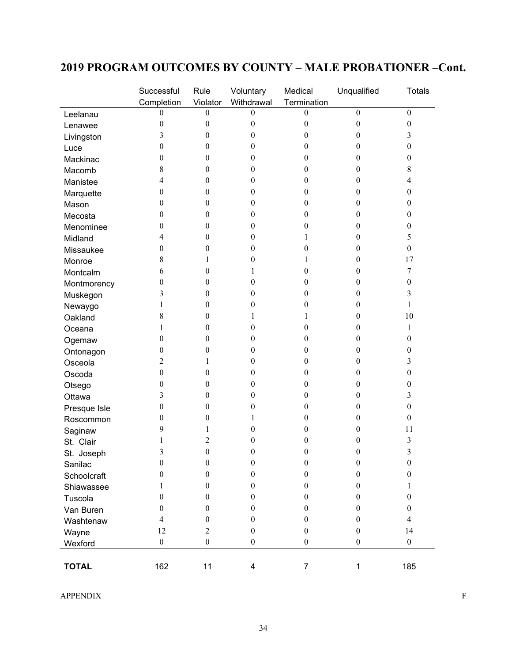### **2019 PROGRAM OUTCOMES BY COUNTY – MALE PROBATIONER –Cont.**

|              | Successful       | Rule             | Voluntary        | Medical          | Unqualified      | <b>Totals</b>    |
|--------------|------------------|------------------|------------------|------------------|------------------|------------------|
|              | Completion       | Violator         | Withdrawal       | Termination      |                  |                  |
| Leelanau     | 0                | $\theta$         | $\theta$         | $\theta$         | $\mathbf{0}$     | $\mathbf{0}$     |
| Lenawee      | $\boldsymbol{0}$ | $\boldsymbol{0}$ | $\boldsymbol{0}$ | $\theta$         | $\boldsymbol{0}$ | $\boldsymbol{0}$ |
| Livingston   | 3                | $\theta$         | $\boldsymbol{0}$ | $\theta$         | 0                | 3                |
| Luce         | $\boldsymbol{0}$ | $\theta$         | $\boldsymbol{0}$ | 0                | 0                | $\boldsymbol{0}$ |
| Mackinac     | $\boldsymbol{0}$ | $\theta$         | $\boldsymbol{0}$ | 0                | $\theta$         | $\boldsymbol{0}$ |
| Macomb       | 8                | $\theta$         | $\boldsymbol{0}$ | 0                | $\theta$         | 8                |
| Manistee     | 4                | $\theta$         | $\boldsymbol{0}$ | 0                | 0                | 4                |
| Marquette    | $\boldsymbol{0}$ | $\theta$         | $\boldsymbol{0}$ | 0                | $\theta$         | $\boldsymbol{0}$ |
| Mason        | $\boldsymbol{0}$ | $\boldsymbol{0}$ | $\boldsymbol{0}$ | 0                | 0                | $\boldsymbol{0}$ |
| Mecosta      | $\boldsymbol{0}$ | $\boldsymbol{0}$ | $\boldsymbol{0}$ | 0                | $\boldsymbol{0}$ | $\boldsymbol{0}$ |
| Menominee    | $\theta$         | $\theta$         | $\boldsymbol{0}$ | 0                | 0                | $\boldsymbol{0}$ |
| Midland      | 4                | $\theta$         | $\boldsymbol{0}$ |                  | 0                | 5                |
| Missaukee    | $\boldsymbol{0}$ | $\theta$         | $\boldsymbol{0}$ | 0                | $\theta$         | $\boldsymbol{0}$ |
| Monroe       | 8                | 1                | $\boldsymbol{0}$ |                  | $\theta$         | 17               |
| Montcalm     | 6                | $\theta$         | 1                | 0                | 0                | 7                |
| Montmorency  | $\boldsymbol{0}$ | $\theta$         | $\boldsymbol{0}$ | 0                | 0                | $\boldsymbol{0}$ |
| Muskegon     | 3                | $\boldsymbol{0}$ | $\boldsymbol{0}$ | 0                | 0                | 3                |
| Newaygo      | 1                | $\boldsymbol{0}$ | $\boldsymbol{0}$ | 0                | $\boldsymbol{0}$ | 1                |
| Oakland      | 8                | $\theta$         | 1                | 1                | 0                | 10               |
| Oceana       | 1                | $\theta$         | $\boldsymbol{0}$ | 0                | 0                | 1                |
| Ogemaw       | $\boldsymbol{0}$ | $\theta$         | $\boldsymbol{0}$ | $\theta$         | $\theta$         | $\boldsymbol{0}$ |
| Ontonagon    | $\boldsymbol{0}$ | $\theta$         | $\boldsymbol{0}$ | 0                | $\theta$         | $\boldsymbol{0}$ |
| Osceola      | 2                | 1                | $\boldsymbol{0}$ | 0                | 0                | 3                |
| Oscoda       | $\boldsymbol{0}$ | $\boldsymbol{0}$ | $\boldsymbol{0}$ | 0                | $\theta$         | $\boldsymbol{0}$ |
| Otsego       | $\boldsymbol{0}$ | $\boldsymbol{0}$ | $\boldsymbol{0}$ | 0                | 0                | 0                |
| Ottawa       | 3                | $\boldsymbol{0}$ | $\boldsymbol{0}$ | 0                | $\boldsymbol{0}$ | 3                |
| Presque Isle | $\boldsymbol{0}$ | $\theta$         | 0                | $\overline{0}$   | 0                | $\boldsymbol{0}$ |
| Roscommon    | 0                | $\boldsymbol{0}$ | 1                | 0                | 0                | $\boldsymbol{0}$ |
| Saginaw      | 9                | 1                | $\boldsymbol{0}$ | 0                | 0                | 11               |
| St. Clair    | 1                | 2                | $\boldsymbol{0}$ | 0                | 0                | 3                |
| St. Joseph   | 3                | $\boldsymbol{0}$ | $\boldsymbol{0}$ | $\boldsymbol{0}$ | 0                | 3                |
| Sanilac      | $\boldsymbol{0}$ | $\boldsymbol{0}$ | $\boldsymbol{0}$ | $\boldsymbol{0}$ | $\boldsymbol{0}$ | $\boldsymbol{0}$ |
| Schoolcraft  | $\theta$         | $\boldsymbol{0}$ | $\boldsymbol{0}$ | $\boldsymbol{0}$ | $\boldsymbol{0}$ | $\boldsymbol{0}$ |
| Shiawassee   |                  | $\boldsymbol{0}$ | $\boldsymbol{0}$ | $\boldsymbol{0}$ | $\theta$         | 1                |
| Tuscola      | $\theta$         | $\theta$         | $\theta$         | $\theta$         | $\theta$         | $\boldsymbol{0}$ |
| Van Buren    | $\theta$         | $\theta$         | $\boldsymbol{0}$ | $\theta$         | $\theta$         | $\mathbf{0}$     |
| Washtenaw    | 4                | $\boldsymbol{0}$ | $\boldsymbol{0}$ | $\boldsymbol{0}$ | $\theta$         | 4                |
| Wayne        | 12               | $\overline{2}$   | $\boldsymbol{0}$ | $\boldsymbol{0}$ | $\mathbf{0}$     | 14               |
| Wexford      | $\boldsymbol{0}$ | $\boldsymbol{0}$ | $\boldsymbol{0}$ | $\boldsymbol{0}$ | $\boldsymbol{0}$ | $\boldsymbol{0}$ |
|              |                  |                  |                  |                  |                  |                  |
| <b>TOTAL</b> | 162              | 11               | 4                | $\overline{7}$   | 1                | 185              |

APPENDIX F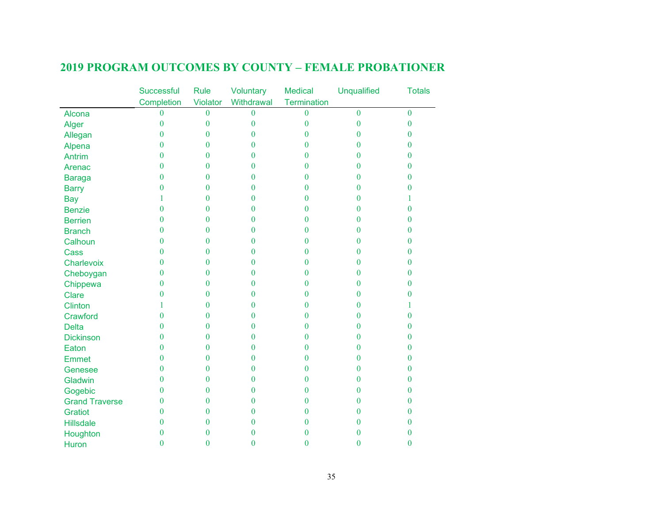|                       | <b>Successful</b> | <b>Rule</b>    | Voluntary        | <b>Medical</b> | <b>Unqualified</b> | <b>Totals</b>    |
|-----------------------|-------------------|----------------|------------------|----------------|--------------------|------------------|
|                       | Completion        | Violator       | Withdrawal       | Termination    |                    |                  |
| Alcona                | $\theta$          | $\overline{0}$ | $\theta$         | $\theta$       | $\theta$           | $\overline{0}$   |
| Alger                 | $\mathbf{0}$      | $\mathbf{0}$   | $\boldsymbol{0}$ | $\bf{0}$       | $\mathbf{0}$       | $\boldsymbol{0}$ |
| Allegan               | $\theta$          | $\mathbf{0}$   | $\Omega$         | $\theta$       | $\theta$           | $\boldsymbol{0}$ |
| Alpena                | $\theta$          | $\mathbf{0}$   | $\Omega$         | $\theta$       | $\theta$           | $\overline{0}$   |
| <b>Antrim</b>         | $\boldsymbol{0}$  | $\mathbf{0}$   | $\theta$         | $\theta$       | $\theta$           | $\bf{0}$         |
| Arenac                | $\theta$          | $\mathbf{0}$   | $\theta$         | $\theta$       | $\theta$           | $\overline{0}$   |
| <b>Baraga</b>         | $\boldsymbol{0}$  | $\mathbf{0}$   | $\theta$         | $\theta$       | $\bf{0}$           | $\boldsymbol{0}$ |
| <b>Barry</b>          | $\boldsymbol{0}$  | $\mathbf{0}$   | 0                | $\theta$       | $\theta$           | $\bf{0}$         |
| <b>Bay</b>            | 1                 | $\theta$       | $\theta$         | $\theta$       | $\mathbf{0}$       |                  |
| <b>Benzie</b>         | $\boldsymbol{0}$  | $\mathbf{0}$   | $\theta$         | $\theta$       | $\theta$           | $\overline{0}$   |
| <b>Berrien</b>        | $\theta$          | $\theta$       | $\theta$         | $\theta$       | $\overline{0}$     | $\overline{0}$   |
| <b>Branch</b>         | $\boldsymbol{0}$  | $\mathbf{0}$   | $\theta$         | $\theta$       | $\overline{0}$     | $\bf{0}$         |
| Calhoun               | $\mathbf{0}$      | $\mathbf{0}$   | $\theta$         | $\theta$       | 0                  | $\mathbf{0}$     |
| Cass                  | $\theta$          | $\mathbf{0}$   | $\theta$         | $\theta$       | $\mathbf{0}$       | $\bf{0}$         |
| Charlevoix            | $\boldsymbol{0}$  | $\mathbf{0}$   | $\theta$         | $\theta$       | $\theta$           | $\boldsymbol{0}$ |
| Cheboygan             | $\boldsymbol{0}$  | $\theta$       | $\theta$         | $\theta$       | $\theta$           | $\bf{0}$         |
| Chippewa              | $\boldsymbol{0}$  | $\mathbf{0}$   | $\theta$         | $\theta$       | $\bf{0}$           | $\bf{0}$         |
| <b>Clare</b>          | $\mathbf{0}$      | $\mathbf{0}$   | $\theta$         | $\mathbf{0}$   | $\bf{0}$           | $\boldsymbol{0}$ |
| <b>Clinton</b>        | 1                 | $\theta$       | $\theta$         | $\theta$       | 0                  | L                |
| Crawford              | $\boldsymbol{0}$  | $\mathbf{0}$   | $\theta$         | $\bf{0}$       | $\theta$           | $\overline{0}$   |
| <b>Delta</b>          | $\boldsymbol{0}$  | $\mathbf{0}$   | $\theta$         | $\mathbf{0}$   | $\bf{0}$           | $\boldsymbol{0}$ |
| <b>Dickinson</b>      | $\bf{0}$          | $\theta$       | $\theta$         | $\theta$       | $\overline{0}$     | $\bf{0}$         |
| Eaton                 | $\mathbf{0}$      | $\bf{0}$       | $\bf{0}$         | $\bf{0}$       | $\bf{0}$           | $\boldsymbol{0}$ |
| <b>Emmet</b>          | $\mathbf{0}$      | $\theta$       | $\theta$         | $\mathbf{0}$   | 0                  | $\mathbf{0}$     |
| Genesee               | $\mathbf{0}$      | $\theta$       | $\theta$         | $\mathbf{0}$   | $\theta$           | $\mathbf{0}$     |
| Gladwin               | $\bf{0}$          | $\mathbf{0}$   | $\theta$         | $\mathbf{0}$   | $\bf{0}$           | $\boldsymbol{0}$ |
| Gogebic               | $\bf{0}$          | $\overline{0}$ | $\theta$         | $\theta$       | $\overline{0}$     | $\bf{0}$         |
| <b>Grand Traverse</b> | $\boldsymbol{0}$  | $\overline{0}$ | $\bf{0}$         | $\bf{0}$       | $\overline{0}$     | $\boldsymbol{0}$ |
| <b>Gratiot</b>        | $\bf{0}$          | $\mathbf{0}$   | 0                | $\bf{0}$       | $\bf{0}$           | $\mathbf{0}$     |
| <b>Hillsdale</b>      | $\theta$          | $\mathbf{0}$   | $\theta$         | $\theta$       | $\theta$           | $\bf{0}$         |
| Houghton              | $\boldsymbol{0}$  | $\overline{0}$ | $\theta$         | $\bf{0}$       | $\overline{0}$     | $\bf{0}$         |
| Huron                 | $\mathbf{0}$      | $\overline{0}$ | $\bf{0}$         | $\overline{0}$ | $\overline{0}$     | $\bf{0}$         |

### **2019 PROGRAM OUTCOMES BY COUNTY – FEMALE PROBATIONER**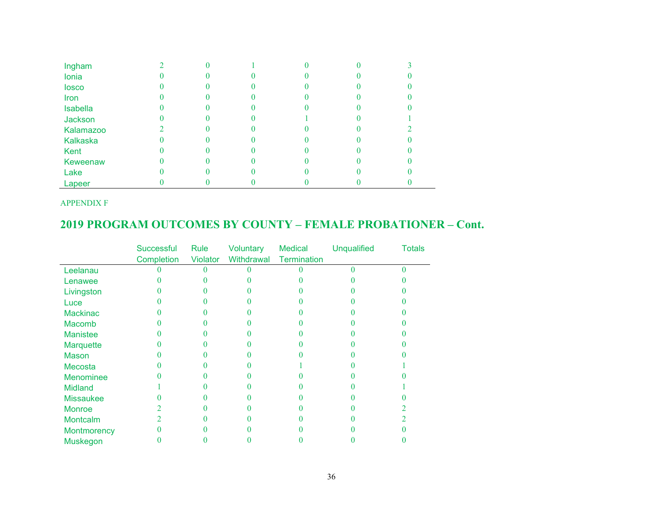| Ingham          |  |  |  |
|-----------------|--|--|--|
| Ionia           |  |  |  |
| losco           |  |  |  |
| Iron            |  |  |  |
| <b>Isabella</b> |  |  |  |
| Jackson         |  |  |  |
| Kalamazoo       |  |  |  |
| <b>Kalkaska</b> |  |  |  |
| Kent            |  |  |  |
| Keweenaw        |  |  |  |
| Lake            |  |  |  |
| Lapeer          |  |  |  |

APPENDIX F

### **2019 PROGRAM OUTCOMES BY COUNTY – FEMALE PROBATIONER – Cont.**

|                  | Successful | Rule     | Voluntary  | <b>Medical</b> | <b>Unqualified</b> | <b>Totals</b> |
|------------------|------------|----------|------------|----------------|--------------------|---------------|
|                  | Completion | Violator | Withdrawal | Termination    |                    |               |
| Leelanau         |            |          |            |                |                    |               |
| Lenawee          |            |          |            |                |                    |               |
| Livingston       |            |          |            |                |                    |               |
| Luce             |            |          |            |                |                    |               |
| <b>Mackinac</b>  |            |          |            |                |                    |               |
| <b>Macomb</b>    |            |          |            |                |                    |               |
| <b>Manistee</b>  |            |          |            |                |                    |               |
| Marquette        |            |          |            |                |                    |               |
| Mason            |            |          |            |                |                    |               |
| Mecosta          |            |          |            |                |                    |               |
| <b>Menominee</b> |            |          |            |                |                    |               |
| <b>Midland</b>   |            |          |            |                |                    |               |
| <b>Missaukee</b> |            |          |            |                |                    |               |
| <b>Monroe</b>    |            |          |            |                |                    |               |
| <b>Montcalm</b>  |            |          |            |                |                    |               |
| Montmorency      |            |          |            |                |                    |               |
| <b>Muskegon</b>  |            |          |            |                |                    |               |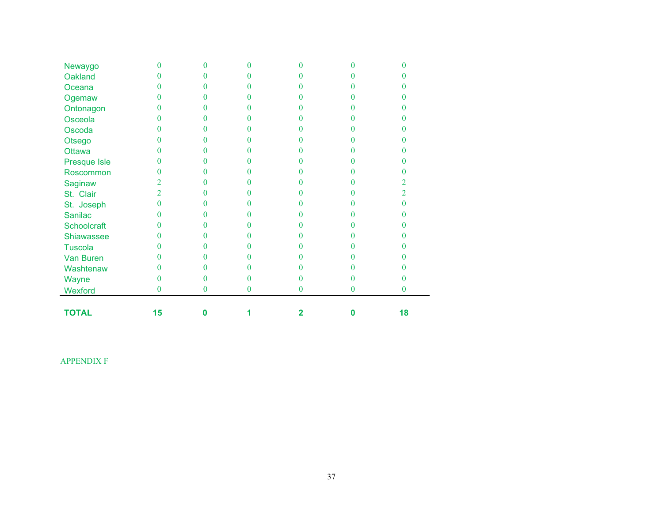| Newaygo        |    | 0            |   | 0        |   |    |
|----------------|----|--------------|---|----------|---|----|
| Oakland        |    | 0            |   |          |   |    |
| Oceana         |    | 0            | 0 | 0        |   |    |
| Ogemaw         | 0  | 0            | 0 | 0        |   |    |
| Ontonagon      | 0  | 0            | 0 | O        |   |    |
| Osceola        | 0  | 0            | 0 |          |   |    |
| Oscoda         | 0  | 0            | 0 |          |   |    |
| Otsego         | 0  | 0            | 0 |          |   |    |
| Ottawa         | N  | 0            | 0 |          |   |    |
| Presque Isle   | 0  | 0            | 0 |          |   |    |
| Roscommon      | 0  | 0            |   |          |   |    |
| Saginaw        | 2  | 0            | 0 |          |   | 2  |
| St. Clair      | 2  | 0            |   |          |   | 2. |
| St. Joseph     | N  | 0            |   |          |   | 0  |
| <b>Sanilac</b> |    | 0            |   |          |   |    |
| Schoolcraft    |    | 0            |   | 0        |   |    |
| Shiawassee     |    | $\Omega$     |   |          |   |    |
| <b>Tuscola</b> |    | 0            |   | 0        |   |    |
| Van Buren      |    | 0            |   | 0        |   |    |
| Washtenaw      |    | 0            | 0 | 0        |   |    |
| Wayne          | 0  | 0            | 0 | 0        |   |    |
| Wexford        | 0  | $\mathbf{0}$ | 0 | $\bf{0}$ | 0 | 0  |
| <b>TOTAL</b>   | 15 | Ω            |   | 2        |   | 18 |

APPENDIX F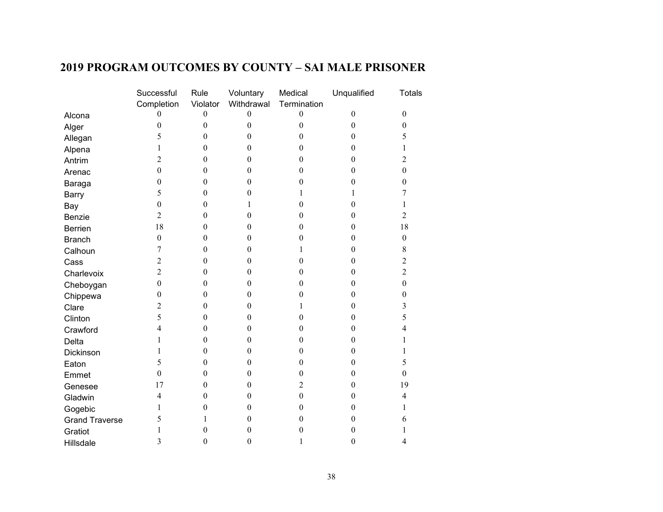### **2019 PROGRAM OUTCOMES BY COUNTY – SAI MALE PRISONER**

|                       | Successful       | Rule             | Voluntary        | Medical          | Unqualified      | <b>Totals</b>    |
|-----------------------|------------------|------------------|------------------|------------------|------------------|------------------|
|                       | Completion       | Violator         | Withdrawal       | Termination      |                  |                  |
| Alcona                | $\theta$         | $\boldsymbol{0}$ | $\mathbf{0}$     | $\boldsymbol{0}$ | $\boldsymbol{0}$ | $\mathbf{0}$     |
| Alger                 | $\boldsymbol{0}$ | $\boldsymbol{0}$ | $\boldsymbol{0}$ | $\boldsymbol{0}$ | $\boldsymbol{0}$ | $\boldsymbol{0}$ |
| Allegan               | 5                | $\theta$         | $\theta$         | $\theta$         | $\theta$         | 5                |
| Alpena                | 1                | $\boldsymbol{0}$ | $\boldsymbol{0}$ | 0                | $\boldsymbol{0}$ | 1                |
| Antrim                | $\overline{c}$   | $\mathbf{0}$     | $\boldsymbol{0}$ | $\boldsymbol{0}$ | $\theta$         | $\overline{2}$   |
| Arenac                | $\boldsymbol{0}$ | $\boldsymbol{0}$ | $\boldsymbol{0}$ | $\boldsymbol{0}$ | $\theta$         | $\boldsymbol{0}$ |
| Baraga                | $\boldsymbol{0}$ | $\boldsymbol{0}$ | $\boldsymbol{0}$ | $\boldsymbol{0}$ | $\mathbf{0}$     | $\boldsymbol{0}$ |
| Barry                 | 5                | $\boldsymbol{0}$ | $\boldsymbol{0}$ | 1                | 1                | 7                |
| Bay                   | $\boldsymbol{0}$ | $\boldsymbol{0}$ | 1                | $\boldsymbol{0}$ | $\mathbf{0}$     | 1                |
| Benzie                | $\overline{2}$   | $\boldsymbol{0}$ | $\boldsymbol{0}$ | $\boldsymbol{0}$ | $\boldsymbol{0}$ | $\overline{2}$   |
| <b>Berrien</b>        | 18               | $\boldsymbol{0}$ | $\boldsymbol{0}$ | $\boldsymbol{0}$ | $\mathbf{0}$     | 18               |
| <b>Branch</b>         | $\boldsymbol{0}$ | $\boldsymbol{0}$ | $\boldsymbol{0}$ | $\boldsymbol{0}$ | $\mathbf{0}$     | $\boldsymbol{0}$ |
| Calhoun               | 7                | $\boldsymbol{0}$ | $\theta$         | 1                | $\theta$         | $\,$ $\,$        |
| Cass                  | $\overline{c}$   | $\boldsymbol{0}$ | $\boldsymbol{0}$ | $\boldsymbol{0}$ | $\boldsymbol{0}$ | $\overline{2}$   |
| Charlevoix            | $\overline{c}$   | $\boldsymbol{0}$ | $\boldsymbol{0}$ | $\boldsymbol{0}$ | $\mathbf{0}$     | $\overline{2}$   |
| Cheboygan             | $\boldsymbol{0}$ | $\boldsymbol{0}$ | $\overline{0}$   | $\boldsymbol{0}$ | $\theta$         | $\boldsymbol{0}$ |
| Chippewa              | $\boldsymbol{0}$ | $\boldsymbol{0}$ | $\boldsymbol{0}$ | $\theta$         | $\theta$         | $\boldsymbol{0}$ |
| Clare                 | $\overline{2}$   | $\boldsymbol{0}$ | $\theta$         | 1                | $\theta$         | 3                |
| Clinton               | 5                | $\boldsymbol{0}$ | $\boldsymbol{0}$ | $\boldsymbol{0}$ | $\mathbf{0}$     | 5                |
| Crawford              | $\overline{4}$   | $\boldsymbol{0}$ | $\boldsymbol{0}$ | $\boldsymbol{0}$ | $\mathbf{0}$     | $\overline{4}$   |
| Delta                 | 1                | $\boldsymbol{0}$ | $\boldsymbol{0}$ | $\theta$         | $\mathbf{0}$     | 1                |
| Dickinson             | $\mathbf{1}$     | $\boldsymbol{0}$ | $\boldsymbol{0}$ | $\boldsymbol{0}$ | $\theta$         | 1                |
| Eaton                 | 5                | $\mathbf{0}$     | $\boldsymbol{0}$ | $\theta$         | $\mathbf{0}$     | 5                |
| Emmet                 | $\boldsymbol{0}$ | $\boldsymbol{0}$ | $\boldsymbol{0}$ | $\boldsymbol{0}$ | $\theta$         | $\mathbf{0}$     |
| Genesee               | 17               | $\boldsymbol{0}$ | $\boldsymbol{0}$ | $\overline{2}$   | $\boldsymbol{0}$ | 19               |
| Gladwin               | $\overline{4}$   | $\boldsymbol{0}$ | $\boldsymbol{0}$ | $\boldsymbol{0}$ | $\theta$         | $\overline{4}$   |
| Gogebic               | 1                | $\boldsymbol{0}$ | $\boldsymbol{0}$ | $\boldsymbol{0}$ | $\boldsymbol{0}$ | 1                |
| <b>Grand Traverse</b> | 5                | 1                | $\boldsymbol{0}$ | $\boldsymbol{0}$ | $\mathbf{0}$     | 6                |
| Gratiot               | 1                | $\boldsymbol{0}$ | $\boldsymbol{0}$ | $\boldsymbol{0}$ | $\mathbf{0}$     | 1                |
| Hillsdale             | 3                | $\boldsymbol{0}$ | $\boldsymbol{0}$ | 1                | $\boldsymbol{0}$ | $\overline{4}$   |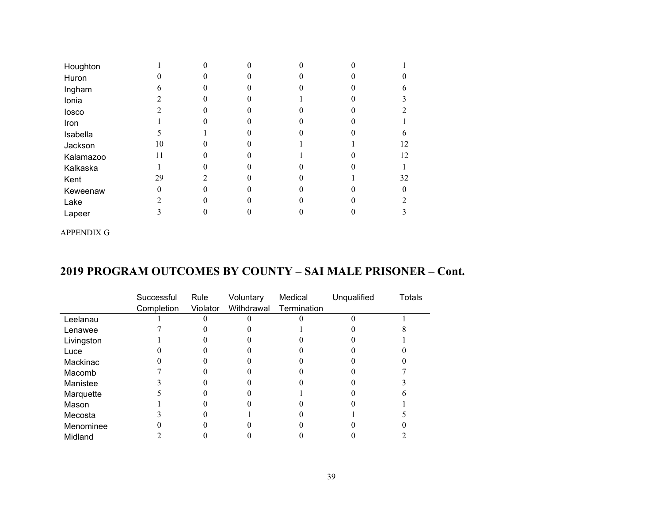| Houghton  |    |  |  |              |
|-----------|----|--|--|--------------|
| Huron     |    |  |  | $\mathbf{0}$ |
| Ingham    |    |  |  |              |
| Ionia     |    |  |  |              |
| losco     |    |  |  |              |
| Iron      |    |  |  |              |
| Isabella  |    |  |  | 6            |
| Jackson   | 10 |  |  | 12           |
| Kalamazoo |    |  |  | 12           |
| Kalkaska  |    |  |  |              |
| Kent      | 29 |  |  | 32           |
| Keweenaw  |    |  |  | $\Omega$     |
| Lake      |    |  |  | 2            |
| Lapeer    |    |  |  | 3            |

APPENDIX G

### **2019 PROGRAM OUTCOMES BY COUNTY – SAI MALE PRISONER – Cont.**

|            | Successful | Rule     | Voluntary  | Medical     | Unqualified | Totals |
|------------|------------|----------|------------|-------------|-------------|--------|
|            | Completion | Violator | Withdrawal | Termination |             |        |
| Leelanau   |            |          |            |             |             |        |
| Lenawee    |            |          |            |             |             |        |
| Livingston |            |          |            |             |             |        |
| Luce       |            |          |            |             |             |        |
| Mackinac   |            |          |            |             |             |        |
| Macomb     |            |          |            |             |             |        |
| Manistee   |            |          |            |             |             |        |
| Marquette  |            |          |            |             |             |        |
| Mason      |            |          |            |             |             |        |
| Mecosta    |            |          |            |             |             |        |
| Menominee  |            |          |            |             |             |        |
| Midland    |            |          |            |             |             |        |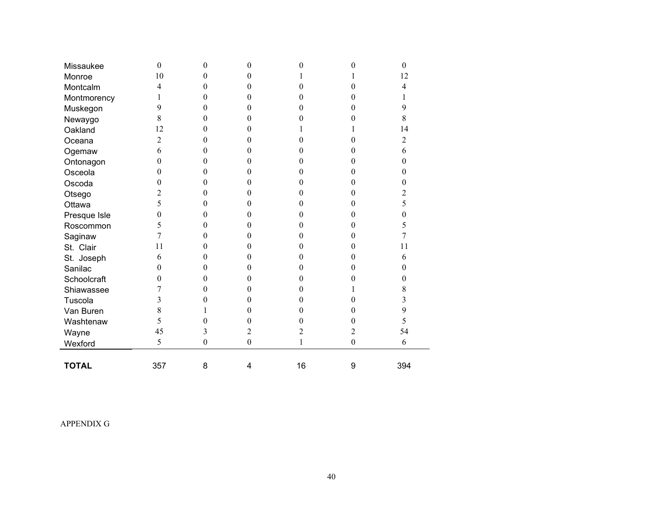| Missaukee    | $\theta$       | $\theta$         | $\boldsymbol{0}$ | 0              | 0                | $\mathbf{0}$   |
|--------------|----------------|------------------|------------------|----------------|------------------|----------------|
| Monroe       | 10             | 0                | 0                |                |                  | 12             |
| Montcalm     | 4              | $\theta$         | $\boldsymbol{0}$ | 0              | 0                | $\overline{4}$ |
| Montmorency  | 1              | $\theta$         | $\boldsymbol{0}$ | 0              | 0                | 1              |
| Muskegon     | 9              | $\theta$         | $\boldsymbol{0}$ | 0              | $\theta$         | 9              |
| Newaygo      | 8              | 0                | $\boldsymbol{0}$ | 0              | 0                | 8              |
| Oakland      | 12             | 0                | $\theta$         |                |                  | 14             |
| Oceana       | $\overline{c}$ | 0                | $\theta$         | 0              | $\theta$         | $\overline{c}$ |
| Ogemaw       | 6              | 0                | $\boldsymbol{0}$ | 0              | 0                | 6              |
| Ontonagon    | $\overline{0}$ | $\theta$         | $\boldsymbol{0}$ | 0              | 0                | $\mathbf{0}$   |
| Osceola      | $\overline{0}$ | 0                | $\mathbf{0}$     | 0              | 0                | $\mathbf{0}$   |
| Oscoda       | $\overline{0}$ | $\mathbf{0}$     | $\boldsymbol{0}$ | 0              | $\boldsymbol{0}$ | $\mathbf{0}$   |
| Otsego       | $\overline{2}$ | $\theta$         | $\mathbf{0}$     | $\overline{0}$ | $\boldsymbol{0}$ | $\overline{c}$ |
| Ottawa       | 5              | $\theta$         | $\boldsymbol{0}$ | 0              | $\theta$         | 5              |
| Presque Isle | $\overline{0}$ | 0                | $\mathbf{0}$     | 0              | $\theta$         | $\mathbf{0}$   |
| Roscommon    | 5              | $\theta$         | 0                | 0              | 0                | 5              |
| Saginaw      | $\tau$         | 0                | $\mathbf{0}$     | 0              | 0                | 7              |
| St. Clair    | 11             | 0                | $\theta$         | 0              | 0                | 11             |
| St. Joseph   | 6              | $\theta$         | 0                | 0              | $\theta$         | 6              |
| Sanilac      | 0              | $\theta$         | 0                | 0              | 0                | $\mathbf{0}$   |
| Schoolcraft  | $\theta$       | $\theta$         | $\boldsymbol{0}$ | 0              | 0                | $\mathbf{0}$   |
| Shiawassee   | 7              | 0                | $\boldsymbol{0}$ | 0              |                  | $8\,$          |
| Tuscola      | 3              | 0                | 0                | 0              | 0                | 3              |
| Van Buren    | 8              |                  | 0                | 0              | 0                | 9              |
| Washtenaw    | 5              | 0                | $\boldsymbol{0}$ | 0              | 0                | 5              |
| Wayne        | 45             | 3                | $\overline{c}$   | $\overline{c}$ | $\overline{c}$   | 54             |
| Wexford      | 5              | $\boldsymbol{0}$ | $\boldsymbol{0}$ | 1              | $\boldsymbol{0}$ | 6              |
|              |                |                  |                  |                |                  |                |
| <b>TOTAL</b> | 357            | 8                | 4                | 16             | 9                | 394            |

APPENDIX G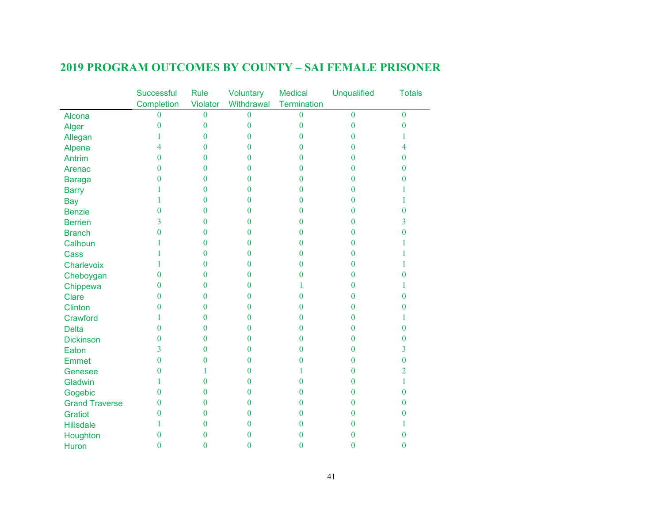|                       | Successful       | <b>Rule</b>    | Voluntary        | <b>Medical</b>   | <b>Unqualified</b> | <b>Totals</b>  |
|-----------------------|------------------|----------------|------------------|------------------|--------------------|----------------|
|                       | Completion       | Violator       | Withdrawal       | Termination      |                    |                |
| Alcona                | $\overline{0}$   | $\bf{0}$       | $\bf{0}$         | $\bf{0}$         | $\mathbf{0}$       | $\mathbf{0}$   |
| Alger                 | $\boldsymbol{0}$ | $\bf{0}$       | $\boldsymbol{0}$ | $\boldsymbol{0}$ | $\bf{0}$           | $\mathbf{0}$   |
| Allegan               | 1                | $\overline{0}$ | $\overline{0}$   | 0                | $\overline{0}$     | 1              |
| Alpena                | 4                | $\bf{0}$       | $\bf{0}$         | $\overline{0}$   | $\bf{0}$           | 4              |
| <b>Antrim</b>         | $\overline{0}$   | $\overline{0}$ | $\bf{0}$         | 0                | $\bf{0}$           | $\bf{0}$       |
| Arenac                | $\overline{0}$   | $\overline{0}$ | $\boldsymbol{0}$ | $\overline{0}$   | $\overline{0}$     | $\bf{0}$       |
| <b>Baraga</b>         | 0                | $\bf{0}$       | $\bf{0}$         | 0                | $\bf{0}$           | $\mathbf{0}$   |
| <b>Barry</b>          |                  | $\theta$       | $\overline{0}$   | 0                | $\theta$           | 1              |
| <b>Bay</b>            | 1                | $\overline{0}$ | $\overline{0}$   | 0                | $\overline{0}$     | 1              |
| <b>Benzie</b>         | $\overline{0}$   | $\bf{0}$       | $\bf{0}$         | 0                | $\overline{0}$     | $\bf{0}$       |
| <b>Berrien</b>        | $\overline{3}$   | $\bf{0}$       | $\boldsymbol{0}$ | $\overline{0}$   | $\bf{0}$           | $\overline{3}$ |
| <b>Branch</b>         | $\overline{0}$   | $\bf{0}$       | $\bf{0}$         | $\overline{0}$   | $\bf{0}$           | $\bf{0}$       |
| Calhoun               |                  | $\overline{0}$ | $\overline{0}$   | 0                | $\overline{0}$     | 1              |
| Cass                  |                  | $\theta$       | $\overline{0}$   | $\theta$         | $\theta$           | 1              |
| Charlevoix            |                  | $\overline{0}$ | $\bf{0}$         | 0                | $\overline{0}$     | 1              |
| Cheboygan             | $\overline{0}$   | $\theta$       | $\overline{0}$   | $\theta$         | $\overline{0}$     | $\bf{0}$       |
| Chippewa              | $\overline{0}$   | $\overline{0}$ | $\bf{0}$         | 1                | $\overline{0}$     | 1              |
| Clare                 | $\overline{0}$   | $\overline{0}$ | $\bf{0}$         | 0                | $\theta$           | $\theta$       |
| <b>Clinton</b>        | $\overline{0}$   | $\theta$       | $\overline{0}$   | 0                | $\overline{0}$     | $\theta$       |
| Crawford              | 1                | $\bf{0}$       | $\bf{0}$         | $\theta$         | $\overline{0}$     | 1              |
| <b>Delta</b>          | $\overline{0}$   | $\bf{0}$       | $\bf{0}$         | 0                | $\bf{0}$           | $\bf{0}$       |
| <b>Dickinson</b>      | $\overline{0}$   | $\overline{0}$ | $\boldsymbol{0}$ | $\theta$         | $\overline{0}$     | $\bf{0}$       |
| Eaton                 | 3                | $\overline{0}$ | $\bf{0}$         | 0                | $\bf{0}$           | $\overline{3}$ |
| <b>Emmet</b>          | $\overline{0}$   | $\theta$       | $\overline{0}$   | 0                | $\overline{0}$     | $\bf{0}$       |
| Genesee               | $\overline{0}$   | 1              | $\overline{0}$   | 1                | $\overline{0}$     | $\overline{2}$ |
| Gladwin               | 1                | $\overline{0}$ | $\bf{0}$         | $\theta$         | $\overline{0}$     | 1              |
| Gogebic               | $\overline{0}$   | $\overline{0}$ | $\boldsymbol{0}$ | $\theta$         | $\overline{0}$     | $\bf{0}$       |
| <b>Grand Traverse</b> | $\overline{0}$   | $\bf{0}$       | $\boldsymbol{0}$ | $\overline{0}$   | $\bf{0}$           | $\bf{0}$       |
| Gratiot               | 0                | $\theta$       | $\overline{0}$   | $\theta$         | $\bf{0}$           | $\theta$       |
| <b>Hillsdale</b>      |                  | $\theta$       | $\theta$         | 0                | $\theta$           | 1              |
| Houghton              | 0                | $\theta$       | 0                | $\theta$         | 0                  | $\bf{0}$       |
| Huron                 | $\overline{0}$   | $\theta$       | $\overline{0}$   | $\overline{0}$   | $\theta$           | $\theta$       |

### **2019 PROGRAM OUTCOMES BY COUNTY – SAI FEMALE PRISONER**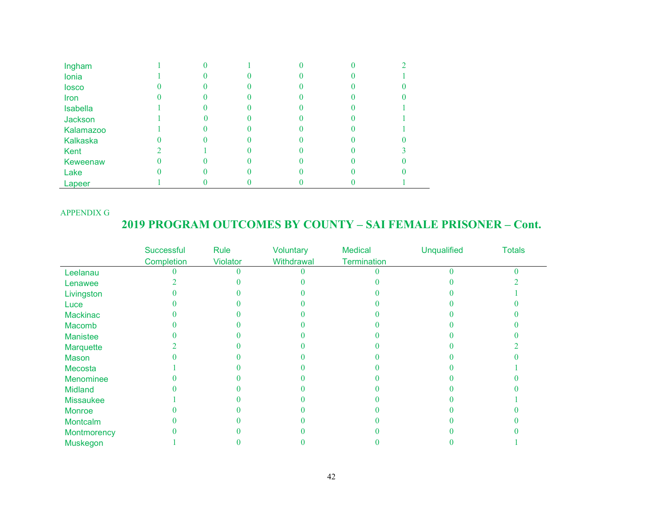| Ingham          |  |  |  |
|-----------------|--|--|--|
| Ionia           |  |  |  |
| losco           |  |  |  |
| Iron            |  |  |  |
| <b>Isabella</b> |  |  |  |
| Jackson         |  |  |  |
| Kalamazoo       |  |  |  |
| <b>Kalkaska</b> |  |  |  |
| Kent            |  |  |  |
| Keweenaw        |  |  |  |
| Lake            |  |  |  |
| Lapeer          |  |  |  |

#### APPENDIX G

### **2019 PROGRAM OUTCOMES BY COUNTY – SAI FEMALE PRISONER – Cont.**

|                  | Successful | Rule     | Voluntary  | <b>Medical</b>     | <b>Unqualified</b> | <b>Totals</b> |
|------------------|------------|----------|------------|--------------------|--------------------|---------------|
|                  | Completion | Violator | Withdrawal | <b>Termination</b> |                    |               |
| Leelanau         |            |          |            |                    |                    |               |
| Lenawee          |            |          |            |                    |                    |               |
| Livingston       |            |          |            |                    |                    |               |
| Luce             |            |          |            |                    |                    |               |
| Mackinac         |            |          |            |                    |                    |               |
| Macomb           |            |          |            |                    |                    |               |
| Manistee         |            |          |            |                    |                    |               |
| Marquette        |            |          |            |                    |                    |               |
| Mason            |            |          |            |                    |                    |               |
| Mecosta          |            |          |            |                    |                    |               |
| Menominee        |            |          |            |                    |                    |               |
| <b>Midland</b>   |            |          |            |                    |                    |               |
| <b>Missaukee</b> |            |          |            |                    |                    |               |
| Monroe           |            |          |            |                    |                    |               |
| Montcalm         |            |          |            |                    |                    |               |
| Montmorency      |            |          |            |                    |                    |               |
| Muskegon         |            |          |            |                    |                    |               |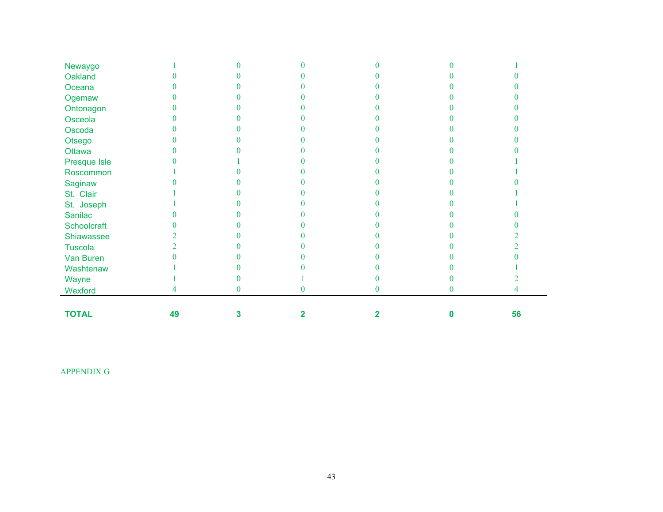| Newaygo      |    |   |   |   |    |  |
|--------------|----|---|---|---|----|--|
| Oakland      |    |   |   |   |    |  |
| Oceana       |    |   |   |   |    |  |
| Ogemaw       |    |   |   |   |    |  |
| Ontonagon    |    |   |   |   |    |  |
| Osceola      |    |   |   |   |    |  |
| Oscoda       |    |   |   |   |    |  |
| Otsego       |    |   |   |   |    |  |
| Ottawa       |    |   |   |   |    |  |
| Presque Isle |    |   |   |   |    |  |
| Roscommon    |    |   |   |   |    |  |
| Saginaw      |    |   |   |   |    |  |
| St. Clair    |    |   |   |   |    |  |
| St. Joseph   |    |   |   |   |    |  |
| Sanilac      |    |   |   |   |    |  |
| Schoolcraft  |    |   |   |   |    |  |
| Shiawassee   |    |   |   |   |    |  |
| Tuscola      |    |   |   |   |    |  |
| Van Buren    |    |   |   |   |    |  |
| Washtenaw    |    |   |   |   |    |  |
| Wayne        |    |   |   |   |    |  |
| Wexford      |    |   | 0 |   |    |  |
|              |    |   |   |   |    |  |
| <b>TOTAL</b> | 49 | 3 |   | U | 56 |  |

APPENDIX G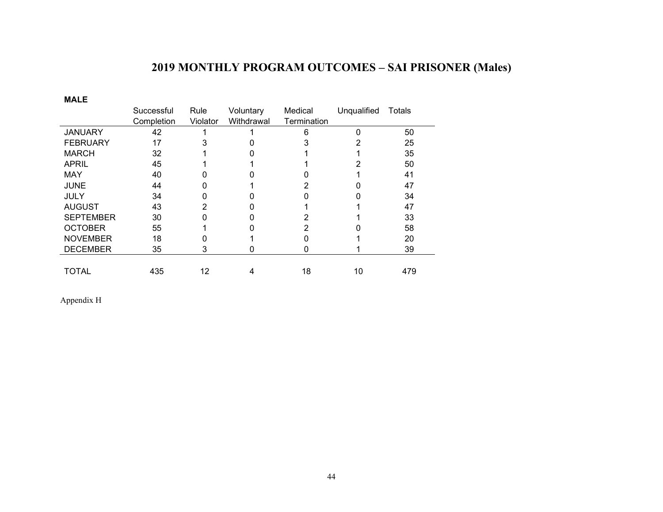## **2019 MONTHLY PROGRAM OUTCOMES – SAI PRISONER (Males)**

**MALE**

|                  | Successful | Rule     | Voluntary  | Medical     | Unqualified | Totals |
|------------------|------------|----------|------------|-------------|-------------|--------|
|                  | Completion | Violator | Withdrawal | Termination |             |        |
| <b>JANUARY</b>   | 42         |          |            | 6           |             | 50     |
| <b>FEBRUARY</b>  | 17         |          |            |             |             | 25     |
| <b>MARCH</b>     | 32         |          |            |             |             | 35     |
| <b>APRIL</b>     | 45         |          |            |             |             | 50     |
| <b>MAY</b>       | 40         |          |            |             |             | 41     |
| <b>JUNE</b>      | 44         |          |            |             |             | 47     |
| <b>JULY</b>      | 34         |          |            |             |             | 34     |
| <b>AUGUST</b>    | 43         |          |            |             |             | 47     |
| <b>SEPTEMBER</b> | 30         |          |            |             |             | 33     |
| <b>OCTOBER</b>   | 55         |          |            |             |             | 58     |
| <b>NOVEMBER</b>  | 18         |          |            |             |             | 20     |
| <b>DECEMBER</b>  | 35         | 3        |            |             |             | 39     |
|                  |            |          |            |             |             |        |
| <b>TOTAL</b>     | 435        | 12       | 4          | 18          | 10          | 479    |

Appendix H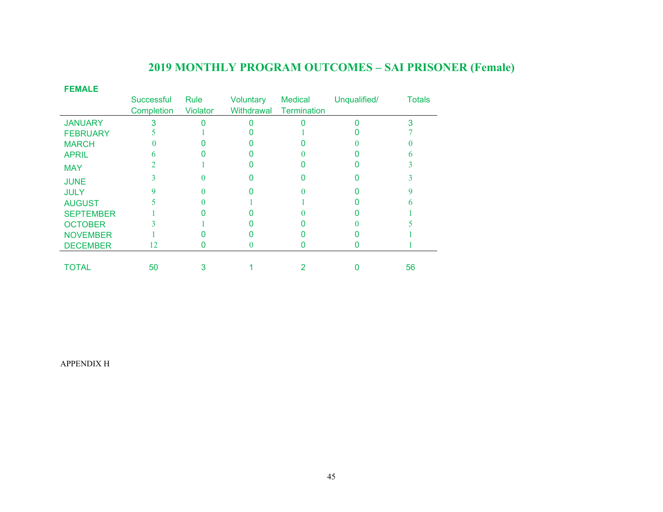## **2019 MONTHLY PROGRAM OUTCOMES – SAI PRISONER (Female)**

| <b>FEMALE</b>    |            |                 |            |                    |              |               |
|------------------|------------|-----------------|------------|--------------------|--------------|---------------|
|                  | Successful | Rule            | Voluntary  | <b>Medical</b>     | Unqualified/ | <b>Totals</b> |
|                  | Completion | <b>Violator</b> | Withdrawal | <b>Termination</b> |              |               |
| <b>JANUARY</b>   |            |                 |            |                    |              |               |
| <b>FEBRUARY</b>  |            |                 |            |                    |              |               |
| <b>MARCH</b>     |            |                 |            |                    |              |               |
| <b>APRIL</b>     |            |                 |            |                    |              |               |
| <b>MAY</b>       |            |                 |            |                    |              |               |
| <b>JUNE</b>      |            |                 |            |                    |              |               |
| <b>JULY</b>      |            |                 |            |                    |              |               |
| <b>AUGUST</b>    |            |                 |            |                    |              |               |
| <b>SEPTEMBER</b> |            |                 |            |                    |              |               |
| <b>OCTOBER</b>   |            |                 |            |                    |              |               |
| <b>NOVEMBER</b>  |            |                 |            |                    |              |               |
| <b>DECEMBER</b>  | 12         |                 |            |                    |              |               |
|                  |            |                 |            |                    |              |               |
| TOTAL            | 50         | 3               |            |                    |              | 56            |

APPENDIX H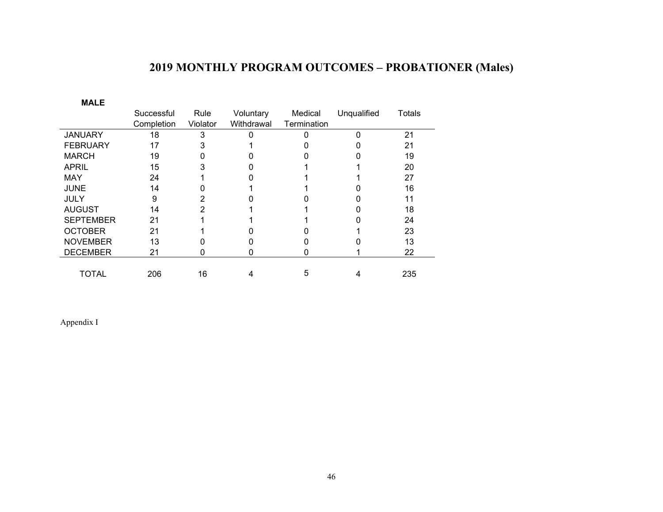## **2019 MONTHLY PROGRAM OUTCOMES – PROBATIONER (Males)**

| <b>MALE</b>      |            |          |            |             |             |        |
|------------------|------------|----------|------------|-------------|-------------|--------|
|                  | Successful | Rule     | Voluntary  | Medical     | Unqualified | Totals |
|                  | Completion | Violator | Withdrawal | Termination |             |        |
| <b>JANUARY</b>   | 18         | 3        |            |             | ŋ           | 21     |
| <b>FEBRUARY</b>  | 17         | 3        |            |             |             | 21     |
| <b>MARCH</b>     | 19         | O        |            |             |             | 19     |
| <b>APRIL</b>     | 15         | 3        |            |             |             | 20     |
| <b>MAY</b>       | 24         |          |            |             |             | 27     |
| <b>JUNE</b>      | 14         |          |            |             |             | 16     |
| <b>JULY</b>      | 9          | 2        |            |             |             | 11     |
| <b>AUGUST</b>    | 14         | 2        |            |             |             | 18     |
| <b>SEPTEMBER</b> | 21         |          |            |             |             | 24     |
| <b>OCTOBER</b>   | 21         |          |            |             |             | 23     |
| <b>NOVEMBER</b>  | 13         |          |            |             |             | 13     |
| <b>DECEMBER</b>  | 21         | 0        |            |             |             | 22     |
|                  |            |          |            |             |             |        |
| TOTAL            | 206        | 16       |            | 5           | 4           | 235    |

Appendix I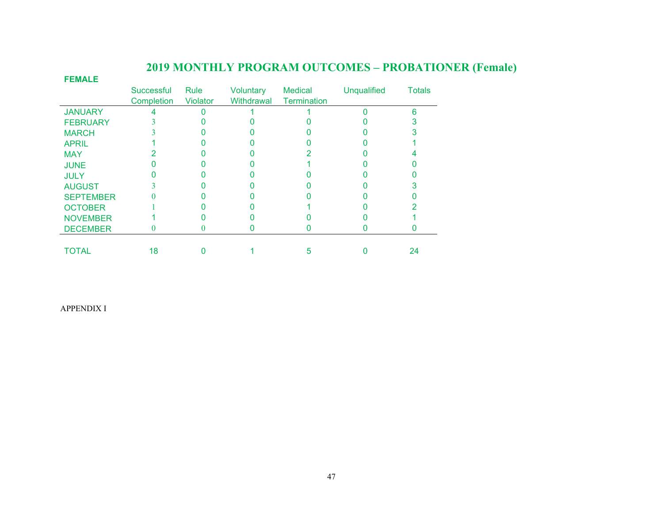| <b>FEMALE</b>    |            |                 |            |                    |                    |               |
|------------------|------------|-----------------|------------|--------------------|--------------------|---------------|
|                  | Successful | <b>Rule</b>     | Voluntary  | <b>Medical</b>     | <b>Unqualified</b> | <b>Totals</b> |
|                  | Completion | <b>Violator</b> | Withdrawal | <b>Termination</b> |                    |               |
| <b>JANUARY</b>   |            |                 |            |                    |                    | 6             |
| <b>FEBRUARY</b>  |            |                 |            |                    |                    |               |
| <b>MARCH</b>     |            |                 |            |                    |                    |               |
| <b>APRIL</b>     |            |                 |            |                    |                    |               |
| <b>MAY</b>       |            |                 |            |                    |                    |               |
| <b>JUNE</b>      |            |                 |            |                    |                    |               |
| <b>JULY</b>      |            |                 |            |                    |                    |               |
| <b>AUGUST</b>    |            |                 |            |                    |                    |               |
| <b>SEPTEMBER</b> |            |                 |            |                    |                    |               |
| <b>OCTOBER</b>   |            |                 |            |                    |                    |               |
| <b>NOVEMBER</b>  |            |                 |            |                    |                    |               |
| <b>DECEMBER</b>  |            |                 |            |                    |                    |               |
|                  |            |                 |            |                    |                    |               |
| <b>TOTAL</b>     | 18         |                 |            |                    |                    | 24            |

## **2019 MONTHLY PROGRAM OUTCOMES – PROBATIONER (Female)**

APPENDIX I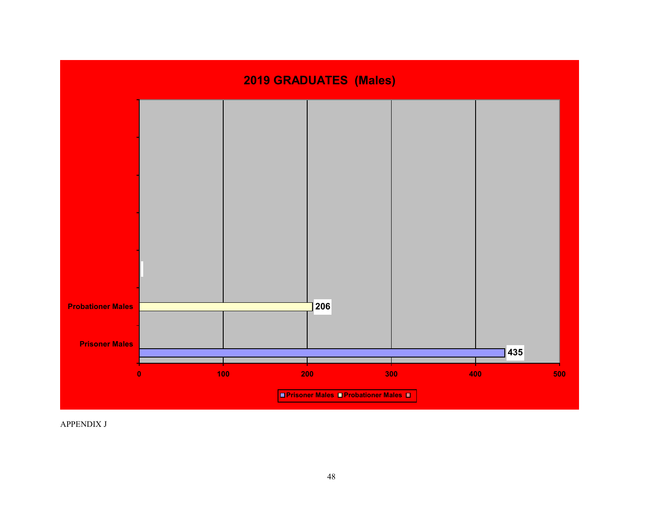

APPENDIX J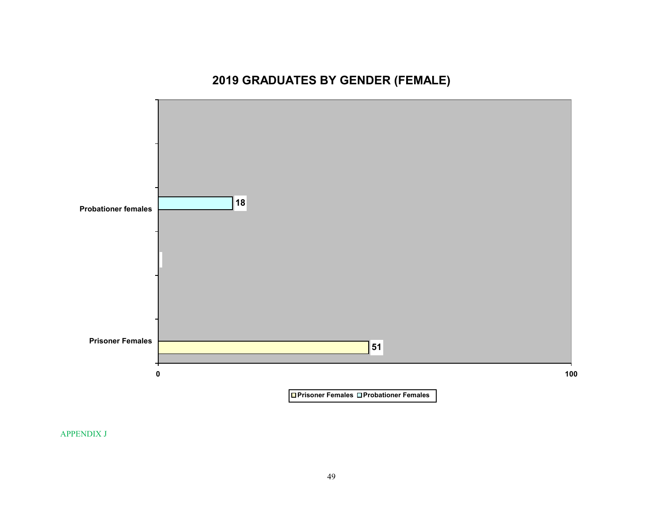## **2019 GRADUATES BY GENDER (FEMALE)**



APPENDIX J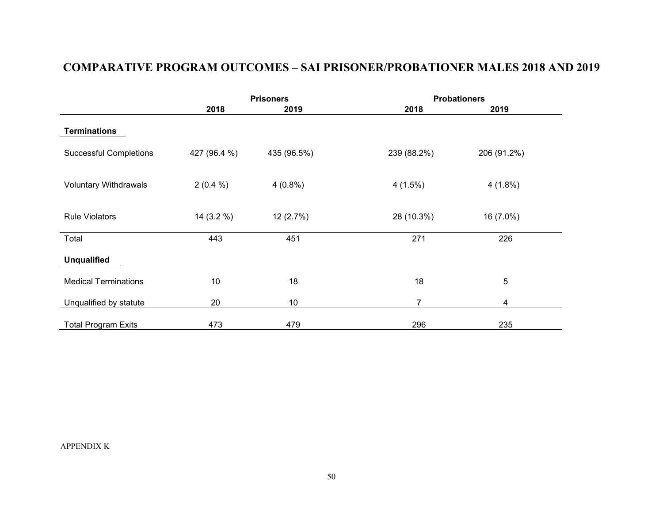### **COMPARATIVE PROGRAM OUTCOMES – SAI PRISONER/PROBATIONER MALES 2018 AND 2019**

|                               |              | <b>Prisoners</b> | <b>Probationers</b> |             |  |
|-------------------------------|--------------|------------------|---------------------|-------------|--|
|                               | 2018         | 2019             | 2018                | 2019        |  |
| <b>Terminations</b>           |              |                  |                     |             |  |
| <b>Successful Completions</b> | 427 (96.4 %) | 435 (96.5%)      | 239 (88.2%)         | 206 (91.2%) |  |
| <b>Voluntary Withdrawals</b>  | $2(0.4\%)$   | $4(0.8\%)$       | $4(1.5\%)$          | $4(1.8\%)$  |  |
| <b>Rule Violators</b>         | 14(3.2%      | 12(2.7%)         | 28 (10.3%)          | 16 (7.0%)   |  |
| Total                         | 443          | 451              | 271                 | 226         |  |
| <b>Unqualified</b>            |              |                  |                     |             |  |
| <b>Medical Terminations</b>   | 10           | 18               | 18                  | 5           |  |
| Unqualified by statute        | 20           | 10               | 7                   | 4           |  |
| <b>Total Program Exits</b>    | 473          | 479              | 296                 | 235         |  |

APPENDIX K